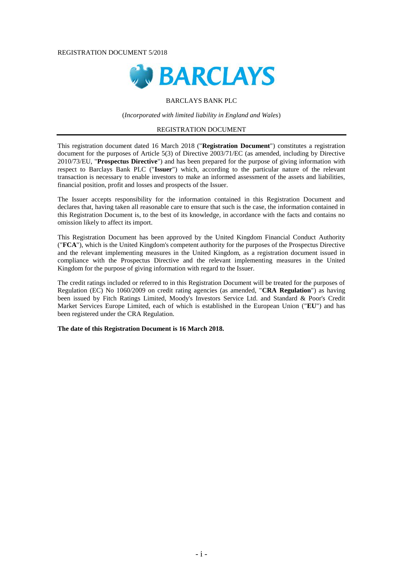#### REGISTRATION DOCUMENT 5/2018



## BARCLAYS BANK PLC

(*Incorporated with limited liability in England and Wales*)

## REGISTRATION DOCUMENT

This registration document dated 16 March 2018 ("**Registration Document**") constitutes a registration document for the purposes of Article 5(3) of Directive 2003/71/EC (as amended, including by Directive 2010/73/EU, "**Prospectus Directive**") and has been prepared for the purpose of giving information with respect to Barclays Bank PLC ("**Issuer**") which, according to the particular nature of the relevant transaction is necessary to enable investors to make an informed assessment of the assets and liabilities, financial position, profit and losses and prospects of the Issuer.

The Issuer accepts responsibility for the information contained in this Registration Document and declares that, having taken all reasonable care to ensure that such is the case, the information contained in this Registration Document is, to the best of its knowledge, in accordance with the facts and contains no omission likely to affect its import.

This Registration Document has been approved by the United Kingdom Financial Conduct Authority ("**FCA**"), which is the United Kingdom's competent authority for the purposes of the Prospectus Directive and the relevant implementing measures in the United Kingdom, as a registration document issued in compliance with the Prospectus Directive and the relevant implementing measures in the United Kingdom for the purpose of giving information with regard to the Issuer.

The credit ratings included or referred to in this Registration Document will be treated for the purposes of Regulation (EC) No 1060/2009 on credit rating agencies (as amended, "**CRA Regulation**") as having been issued by Fitch Ratings Limited, Moody's Investors Service Ltd. and Standard & Poor's Credit Market Services Europe Limited, each of which is established in the European Union ("**EU**") and has been registered under the CRA Regulation.

**The date of this Registration Document is 16 March 2018.**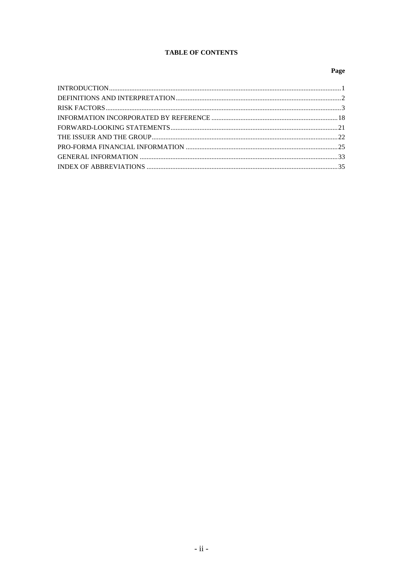## **TABLE OF CONTENTS**

## Page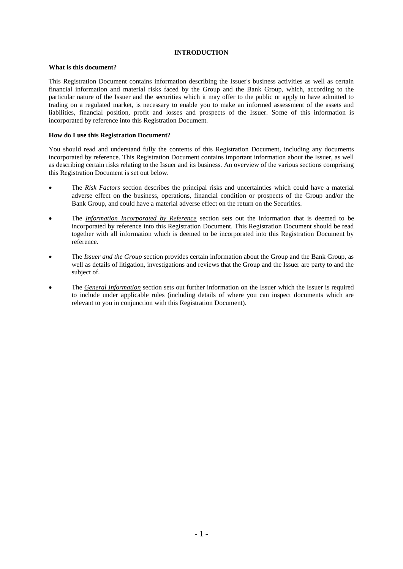## **INTRODUCTION**

## **What is this document?**

This Registration Document contains information describing the Issuer's business activities as well as certain financial information and material risks faced by the Group and the Bank Group, which, according to the particular nature of the Issuer and the securities which it may offer to the public or apply to have admitted to trading on a regulated market, is necessary to enable you to make an informed assessment of the assets and liabilities, financial position, profit and losses and prospects of the Issuer. Some of this information is incorporated by reference into this Registration Document.

## **How do I use this Registration Document?**

You should read and understand fully the contents of this Registration Document, including any documents incorporated by reference. This Registration Document contains important information about the Issuer, as well as describing certain risks relating to the Issuer and its business. An overview of the various sections comprising this Registration Document is set out below.

- The *Risk Factors* section describes the principal risks and uncertainties which could have a material adverse effect on the business, operations, financial condition or prospects of the Group and/or the Bank Group, and could have a material adverse effect on the return on the Securities.
- The *Information Incorporated by Reference* section sets out the information that is deemed to be incorporated by reference into this Registration Document. This Registration Document should be read together with all information which is deemed to be incorporated into this Registration Document by reference.
- The *Issuer and the Group* section provides certain information about the Group and the Bank Group, as well as details of litigation, investigations and reviews that the Group and the Issuer are party to and the subject of.
- The *General Information* section sets out further information on the Issuer which the Issuer is required to include under applicable rules (including details of where you can inspect documents which are relevant to you in conjunction with this Registration Document).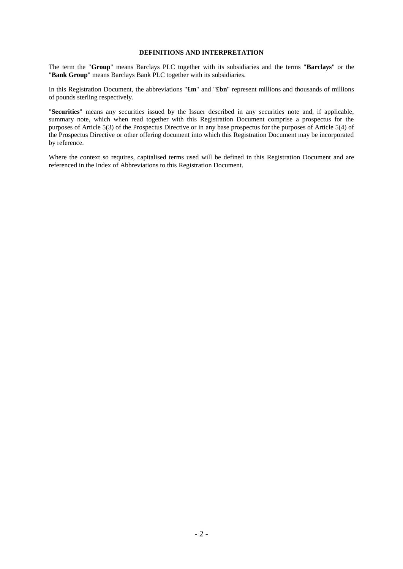## **DEFINITIONS AND INTERPRETATION**

The term the "**Group**" means Barclays PLC together with its subsidiaries and the terms "**Barclays**" or the "**Bank Group**" means Barclays Bank PLC together with its subsidiaries.

In this Registration Document, the abbreviations "**£m**" and "**£bn**" represent millions and thousands of millions of pounds sterling respectively.

"**Securities**" means any securities issued by the Issuer described in any securities note and, if applicable, summary note, which when read together with this Registration Document comprise a prospectus for the purposes of Article 5(3) of the Prospectus Directive or in any base prospectus for the purposes of Article 5(4) of the Prospectus Directive or other offering document into which this Registration Document may be incorporated by reference.

Where the context so requires, capitalised terms used will be defined in this Registration Document and are referenced in the Index of Abbreviations to this Registration Document.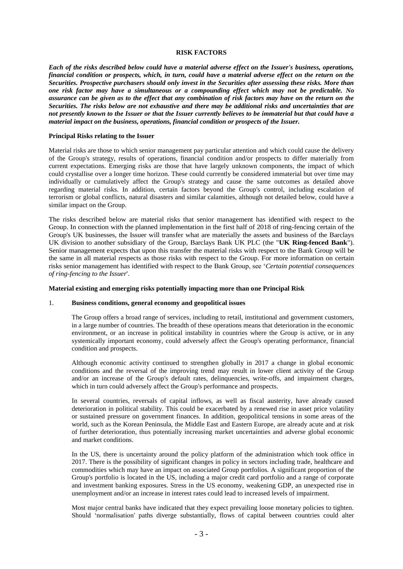### **RISK FACTORS**

*Each of the risks described below could have a material adverse effect on the Issuer's business, operations, financial condition or prospects, which, in turn, could have a material adverse effect on the return on the Securities. Prospective purchasers should only invest in the Securities after assessing these risks. More than one risk factor may have a simultaneous or a compounding effect which may not be predictable. No assurance can be given as to the effect that any combination of risk factors may have on the return on the Securities. The risks below are not exhaustive and there may be additional risks and uncertainties that are not presently known to the Issuer or that the Issuer currently believes to be immaterial but that could have a material impact on the business, operations, financial condition or prospects of the Issuer.* 

#### **Principal Risks relating to the Issuer**

Material risks are those to which senior management pay particular attention and which could cause the delivery of the Group's strategy, results of operations, financial condition and/or prospects to differ materially from current expectations. Emerging risks are those that have largely unknown components, the impact of which could crystallise over a longer time horizon. These could currently be considered immaterial but over time may individually or cumulatively affect the Group's strategy and cause the same outcomes as detailed above regarding material risks. In addition, certain factors beyond the Group's control, including escalation of terrorism or global conflicts, natural disasters and similar calamities, although not detailed below, could have a similar impact on the Group.

The risks described below are material risks that senior management has identified with respect to the Group. In connection with the planned implementation in the first half of 2018 of ring-fencing certain of the Group's UK businesses, the Issuer will transfer what are materially the assets and business of the Barclays UK division to another subsidiary of the Group, Barclays Bank UK PLC (the "**UK Ring-fenced Bank**"). Senior management expects that upon this transfer the material risks with respect to the Bank Group will be the same in all material respects as those risks with respect to the Group. For more information on certain risks senior management has identified with respect to the Bank Group, see '*Certain potential consequences of ring-fencing to the Issuer*'.

#### **Material existing and emerging risks potentially impacting more than one Principal Risk**

#### 1. **Business conditions, general economy and geopolitical issues**

The Group offers a broad range of services, including to retail, institutional and government customers, in a large number of countries. The breadth of these operations means that deterioration in the economic environment, or an increase in political instability in countries where the Group is active, or in any systemically important economy, could adversely affect the Group's operating performance, financial condition and prospects.

Although economic activity continued to strengthen globally in 2017 a change in global economic conditions and the reversal of the improving trend may result in lower client activity of the Group and/or an increase of the Group's default rates, delinquencies, write-offs, and impairment charges, which in turn could adversely affect the Group's performance and prospects.

In several countries, reversals of capital inflows, as well as fiscal austerity, have already caused deterioration in political stability. This could be exacerbated by a renewed rise in asset price volatility or sustained pressure on government finances. In addition, geopolitical tensions in some areas of the world, such as the Korean Peninsula, the Middle East and Eastern Europe, are already acute and at risk of further deterioration, thus potentially increasing market uncertainties and adverse global economic and market conditions.

In the US, there is uncertainty around the policy platform of the administration which took office in 2017. There is the possibility of significant changes in policy in sectors including trade, healthcare and commodities which may have an impact on associated Group portfolios. A significant proportion of the Group's portfolio is located in the US, including a major credit card portfolio and a range of corporate and investment banking exposures. Stress in the US economy, weakening GDP, an unexpected rise in unemployment and/or an increase in interest rates could lead to increased levels of impairment.

Most major central banks have indicated that they expect prevailing loose monetary policies to tighten. Should 'normalisation' paths diverge substantially, flows of capital between countries could alter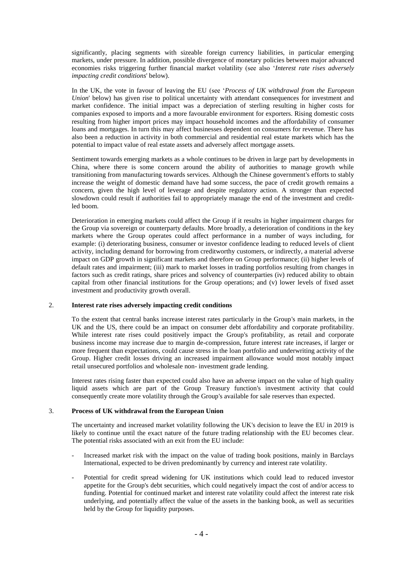significantly, placing segments with sizeable foreign currency liabilities, in particular emerging markets, under pressure. In addition, possible divergence of monetary policies between major advanced economies risks triggering further financial market volatility (see also '*Interest rate rises adversely impacting credit conditions*' below).

In the UK, the vote in favour of leaving the EU (see '*Process of UK withdrawal from the European Union*' below) has given rise to political uncertainty with attendant consequences for investment and market confidence. The initial impact was a depreciation of sterling resulting in higher costs for companies exposed to imports and a more favourable environment for exporters. Rising domestic costs resulting from higher import prices may impact household incomes and the affordability of consumer loans and mortgages. In turn this may affect businesses dependent on consumers for revenue. There has also been a reduction in activity in both commercial and residential real estate markets which has the potential to impact value of real estate assets and adversely affect mortgage assets.

Sentiment towards emerging markets as a whole continues to be driven in large part by developments in China, where there is some concern around the ability of authorities to manage growth while transitioning from manufacturing towards services. Although the Chinese government's efforts to stably increase the weight of domestic demand have had some success, the pace of credit growth remains a concern, given the high level of leverage and despite regulatory action. A stronger than expected slowdown could result if authorities fail to appropriately manage the end of the investment and creditled boom.

Deterioration in emerging markets could affect the Group if it results in higher impairment charges for the Group via sovereign or counterparty defaults. More broadly, a deterioration of conditions in the key markets where the Group operates could affect performance in a number of ways including, for example: (i) deteriorating business, consumer or investor confidence leading to reduced levels of client activity, including demand for borrowing from creditworthy customers, or indirectly, a material adverse impact on GDP growth in significant markets and therefore on Group performance; (ii) higher levels of default rates and impairment; (iii) mark to market losses in trading portfolios resulting from changes in factors such as credit ratings, share prices and solvency of counterparties (iv) reduced ability to obtain capital from other financial institutions for the Group operations; and (v) lower levels of fixed asset investment and productivity growth overall.

#### 2. **Interest rate rises adversely impacting credit conditions**

To the extent that central banks increase interest rates particularly in the Group's main markets, in the UK and the US, there could be an impact on consumer debt affordability and corporate profitability. While interest rate rises could positively impact the Group's profitability, as retail and corporate business income may increase due to margin de-compression, future interest rate increases, if larger or more frequent than expectations, could cause stress in the loan portfolio and underwriting activity of the Group. Higher credit losses driving an increased impairment allowance would most notably impact retail unsecured portfolios and wholesale non- investment grade lending.

Interest rates rising faster than expected could also have an adverse impact on the value of high quality liquid assets which are part of the Group Treasury function's investment activity that could consequently create more volatility through the Group's available for sale reserves than expected.

#### 3. **Process of UK withdrawal from the European Union**

The uncertainty and increased market volatility following the UK's decision to leave the EU in 2019 is likely to continue until the exact nature of the future trading relationship with the EU becomes clear. The potential risks associated with an exit from the EU include:

- Increased market risk with the impact on the value of trading book positions, mainly in Barclays International, expected to be driven predominantly by currency and interest rate volatility.
- Potential for credit spread widening for UK institutions which could lead to reduced investor appetite for the Group's debt securities, which could negatively impact the cost of and/or access to funding. Potential for continued market and interest rate volatility could affect the interest rate risk underlying, and potentially affect the value of the assets in the banking book, as well as securities held by the Group for liquidity purposes.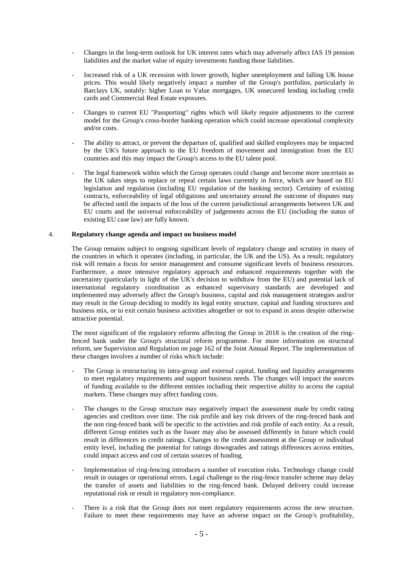- Changes in the long-term outlook for UK interest rates which may adversely affect IAS 19 pension liabilities and the market value of equity investments funding those liabilities.
- Increased risk of a UK recession with lower growth, higher unemployment and falling UK house prices. This would likely negatively impact a number of the Group's portfolios, particularly in Barclays UK, notably: higher Loan to Value mortgages, UK unsecured lending including credit cards and Commercial Real Estate exposures.
- Changes to current EU "Passporting" rights which will likely require adjustments to the current model for the Group's cross-border banking operation which could increase operational complexity and/or costs.
- The ability to attract, or prevent the departure of, qualified and skilled employees may be impacted by the UK's future approach to the EU freedom of movement and immigration from the EU countries and this may impact the Group's access to the EU talent pool.
- The legal framework within which the Group operates could change and become more uncertain as the UK takes steps to replace or repeal certain laws currently in force, which are based on EU legislation and regulation (including EU regulation of the banking sector). Certainty of existing contracts, enforceability of legal obligations and uncertainty around the outcome of disputes may be affected until the impacts of the loss of the current jurisdictional arrangements between UK and EU courts and the universal enforceability of judgements across the EU (including the status of existing EU case law) are fully known.

## 4. **Regulatory change agenda and impact on business model**

The Group remains subject to ongoing significant levels of regulatory change and scrutiny in many of the countries in which it operates (including, in particular, the UK and the US). As a result, regulatory risk will remain a focus for senior management and consume significant levels of business resources. Furthermore, a more intensive regulatory approach and enhanced requirements together with the uncertainty (particularly in light of the UK's decision to withdraw from the EU) and potential lack of international regulatory coordination as enhanced supervisory standards are developed and implemented may adversely affect the Group's business, capital and risk management strategies and/or may result in the Group deciding to modify its legal entity structure, capital and funding structures and business mix, or to exit certain business activities altogether or not to expand in areas despite otherwise attractive potential.

The most significant of the regulatory reforms affecting the Group in 2018 is the creation of the ringfenced bank under the Group's structural reform programme. For more information on structural reform, see Supervision and Regulation on page 162 of the Joint Annual Report. The implementation of these changes involves a number of risks which include:

- The Group is restructuring its intra-group and external capital, funding and liquidity arrangements to meet regulatory requirements and support business needs. The changes will impact the sources of funding available to the different entities including their respective ability to access the capital markets. These changes may affect funding costs.
- The changes to the Group structure may negatively impact the assessment made by credit rating agencies and creditors over time. The risk profile and key risk drivers of the ring-fenced bank and the non ring-fenced bank will be specific to the activities and risk profile of each entity. As a result, different Group entities such as the Issuer may also be assessed differently in future which could result in differences in credit ratings. Changes to the credit assessment at the Group or individual entity level, including the potential for ratings downgrades and ratings differences across entities, could impact access and cost of certain sources of funding.
- Implementation of ring-fencing introduces a number of execution risks. Technology change could result in outages or operational errors. Legal challenge to the ring-fence transfer scheme may delay the transfer of assets and liabilities to the ring-fenced bank. Delayed delivery could increase reputational risk or result in regulatory non-compliance.
- There is a risk that the Group does not meet regulatory requirements across the new structure. Failure to meet these requirements may have an adverse impact on the Group's profitability,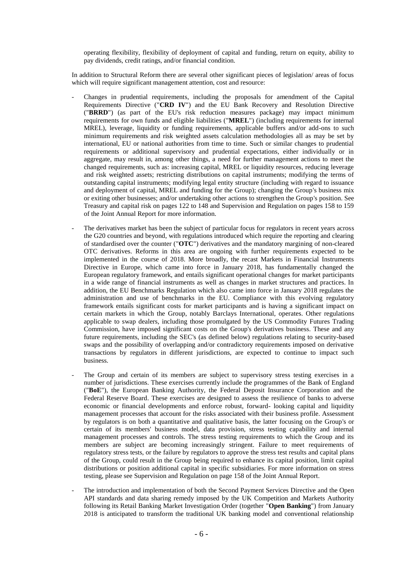operating flexibility, flexibility of deployment of capital and funding, return on equity, ability to pay dividends, credit ratings, and/or financial condition.

In addition to Structural Reform there are several other significant pieces of legislation/ areas of focus which will require significant management attention, cost and resource:

- Changes in prudential requirements, including the proposals for amendment of the Capital Requirements Directive ("**CRD IV**") and the EU Bank Recovery and Resolution Directive ("**BRRD**") (as part of the EU's risk reduction measures package) may impact minimum requirements for own funds and eligible liabilities ("**MREL**") (including requirements for internal MREL), leverage, liquidity or funding requirements, applicable buffers and/or add-ons to such minimum requirements and risk weighted assets calculation methodologies all as may be set by international, EU or national authorities from time to time. Such or similar changes to prudential requirements or additional supervisory and prudential expectations, either individually or in aggregate, may result in, among other things, a need for further management actions to meet the changed requirements, such as: increasing capital, MREL or liquidity resources, reducing leverage and risk weighted assets; restricting distributions on capital instruments; modifying the terms of outstanding capital instruments; modifying legal entity structure (including with regard to issuance and deployment of capital, MREL and funding for the Group); changing the Group's business mix or exiting other businesses; and/or undertaking other actions to strengthen the Group's position. See Treasury and capital risk on pages 122 to 148 and Supervision and Regulation on pages 158 to 159 of the Joint Annual Report for more information.
- The derivatives market has been the subject of particular focus for regulators in recent years across the G20 countries and beyond, with regulations introduced which require the reporting and clearing of standardised over the counter ("**OTC**") derivatives and the mandatory margining of non-cleared OTC derivatives. Reforms in this area are ongoing with further requirements expected to be implemented in the course of 2018. More broadly, the recast Markets in Financial Instruments Directive in Europe, which came into force in January 2018, has fundamentally changed the European regulatory framework, and entails significant operational changes for market participants in a wide range of financial instruments as well as changes in market structures and practices. In addition, the EU Benchmarks Regulation which also came into force in January 2018 regulates the administration and use of benchmarks in the EU. Compliance with this evolving regulatory framework entails significant costs for market participants and is having a significant impact on certain markets in which the Group, notably Barclays International, operates. Other regulations applicable to swap dealers, including those promulgated by the US Commodity Futures Trading Commission, have imposed significant costs on the Group's derivatives business. These and any future requirements, including the SEC's (as defined below) regulations relating to security-based swaps and the possibility of overlapping and/or contradictory requirements imposed on derivative transactions by regulators in different jurisdictions, are expected to continue to impact such business.
- The Group and certain of its members are subject to supervisory stress testing exercises in a number of jurisdictions. These exercises currently include the programmes of the Bank of England ("**BoE**"), the European Banking Authority, the Federal Deposit Insurance Corporation and the Federal Reserve Board. These exercises are designed to assess the resilience of banks to adverse economic or financial developments and enforce robust, forward- looking capital and liquidity management processes that account for the risks associated with their business profile. Assessment by regulators is on both a quantitative and qualitative basis, the latter focusing on the Group's or certain of its members' business model, data provision, stress testing capability and internal management processes and controls. The stress testing requirements to which the Group and its members are subject are becoming increasingly stringent. Failure to meet requirements of regulatory stress tests, or the failure by regulators to approve the stress test results and capital plans of the Group, could result in the Group being required to enhance its capital position, limit capital distributions or position additional capital in specific subsidiaries. For more information on stress testing, please see Supervision and Regulation on page 158 of the Joint Annual Report.
- The introduction and implementation of both the Second Payment Services Directive and the Open API standards and data sharing remedy imposed by the UK Competition and Markets Authority following its Retail Banking Market Investigation Order (together "**Open Banking**") from January 2018 is anticipated to transform the traditional UK banking model and conventional relationship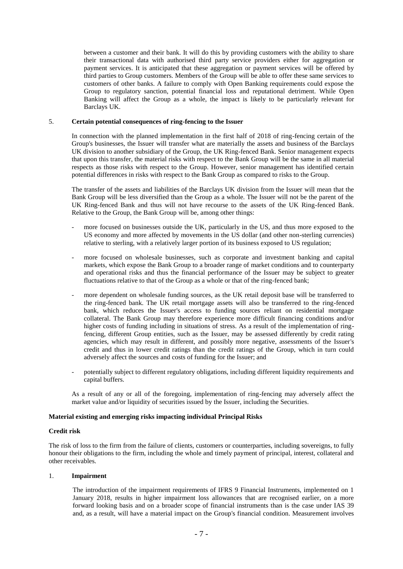between a customer and their bank. It will do this by providing customers with the ability to share their transactional data with authorised third party service providers either for aggregation or payment services. It is anticipated that these aggregation or payment services will be offered by third parties to Group customers. Members of the Group will be able to offer these same services to customers of other banks. A failure to comply with Open Banking requirements could expose the Group to regulatory sanction, potential financial loss and reputational detriment. While Open Banking will affect the Group as a whole, the impact is likely to be particularly relevant for Barclays UK.

### 5. **Certain potential consequences of ring-fencing to the Issuer**

In connection with the planned implementation in the first half of 2018 of ring-fencing certain of the Group's businesses, the Issuer will transfer what are materially the assets and business of the Barclays UK division to another subsidiary of the Group, the UK Ring-fenced Bank. Senior management expects that upon this transfer, the material risks with respect to the Bank Group will be the same in all material respects as those risks with respect to the Group. However, senior management has identified certain potential differences in risks with respect to the Bank Group as compared to risks to the Group.

The transfer of the assets and liabilities of the Barclays UK division from the Issuer will mean that the Bank Group will be less diversified than the Group as a whole. The Issuer will not be the parent of the UK Ring-fenced Bank and thus will not have recourse to the assets of the UK Ring-fenced Bank. Relative to the Group, the Bank Group will be, among other things:

- more focused on businesses outside the UK, particularly in the US, and thus more exposed to the US economy and more affected by movements in the US dollar (and other non-sterling currencies) relative to sterling, with a relatively larger portion of its business exposed to US regulation;
- more focused on wholesale businesses, such as corporate and investment banking and capital markets, which expose the Bank Group to a broader range of market conditions and to counterparty and operational risks and thus the financial performance of the Issuer may be subject to greater fluctuations relative to that of the Group as a whole or that of the ring-fenced bank;
- more dependent on wholesale funding sources, as the UK retail deposit base will be transferred to the ring-fenced bank. The UK retail mortgage assets will also be transferred to the ring-fenced bank, which reduces the Issuer's access to funding sources reliant on residential mortgage collateral. The Bank Group may therefore experience more difficult financing conditions and/or higher costs of funding including in situations of stress. As a result of the implementation of ringfencing, different Group entities, such as the Issuer, may be assessed differently by credit rating agencies, which may result in different, and possibly more negative, assessments of the Issuer's credit and thus in lower credit ratings than the credit ratings of the Group, which in turn could adversely affect the sources and costs of funding for the Issuer; and
- potentially subject to different regulatory obligations, including different liquidity requirements and capital buffers.

As a result of any or all of the foregoing, implementation of ring-fencing may adversely affect the market value and/or liquidity of securities issued by the Issuer, including the Securities.

## **Material existing and emerging risks impacting individual Principal Risks**

#### **Credit risk**

The risk of loss to the firm from the failure of clients, customers or counterparties, including sovereigns, to fully honour their obligations to the firm, including the whole and timely payment of principal, interest, collateral and other receivables.

#### 1. **Impairment**

The introduction of the impairment requirements of IFRS 9 Financial Instruments, implemented on 1 January 2018, results in higher impairment loss allowances that are recognised earlier, on a more forward looking basis and on a broader scope of financial instruments than is the case under IAS 39 and, as a result, will have a material impact on the Group's financial condition. Measurement involves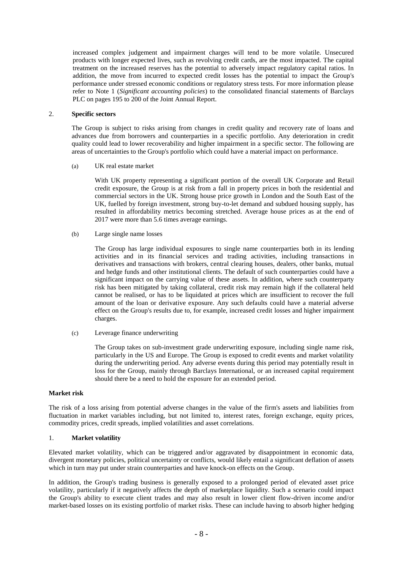increased complex judgement and impairment charges will tend to be more volatile. Unsecured products with longer expected lives, such as revolving credit cards, are the most impacted. The capital treatment on the increased reserves has the potential to adversely impact regulatory capital ratios. In addition, the move from incurred to expected credit losses has the potential to impact the Group's performance under stressed economic conditions or regulatory stress tests. For more information please refer to Note 1 (*Significant accounting policies*) to the consolidated financial statements of Barclays PLC on pages 195 to 200 of the Joint Annual Report.

## 2. **Specific sectors**

The Group is subject to risks arising from changes in credit quality and recovery rate of loans and advances due from borrowers and counterparties in a specific portfolio. Any deterioration in credit quality could lead to lower recoverability and higher impairment in a specific sector. The following are areas of uncertainties to the Group's portfolio which could have a material impact on performance.

(a) UK real estate market

With UK property representing a significant portion of the overall UK Corporate and Retail credit exposure, the Group is at risk from a fall in property prices in both the residential and commercial sectors in the UK. Strong house price growth in London and the South East of the UK, fuelled by foreign investment, strong buy-to-let demand and subdued housing supply, has resulted in affordability metrics becoming stretched. Average house prices as at the end of 2017 were more than 5.6 times average earnings.

(b) Large single name losses

The Group has large individual exposures to single name counterparties both in its lending activities and in its financial services and trading activities, including transactions in derivatives and transactions with brokers, central clearing houses, dealers, other banks, mutual and hedge funds and other institutional clients. The default of such counterparties could have a significant impact on the carrying value of these assets. In addition, where such counterparty risk has been mitigated by taking collateral, credit risk may remain high if the collateral held cannot be realised, or has to be liquidated at prices which are insufficient to recover the full amount of the loan or derivative exposure. Any such defaults could have a material adverse effect on the Group's results due to, for example, increased credit losses and higher impairment charges.

(c) Leverage finance underwriting

The Group takes on sub-investment grade underwriting exposure, including single name risk, particularly in the US and Europe. The Group is exposed to credit events and market volatility during the underwriting period. Any adverse events during this period may potentially result in loss for the Group, mainly through Barclays International, or an increased capital requirement should there be a need to hold the exposure for an extended period.

#### **Market risk**

The risk of a loss arising from potential adverse changes in the value of the firm's assets and liabilities from fluctuation in market variables including, but not limited to, interest rates, foreign exchange, equity prices, commodity prices, credit spreads, implied volatilities and asset correlations.

## 1. **Market volatility**

Elevated market volatility, which can be triggered and/or aggravated by disappointment in economic data, divergent monetary policies, political uncertainty or conflicts, would likely entail a significant deflation of assets which in turn may put under strain counterparties and have knock-on effects on the Group.

In addition, the Group's trading business is generally exposed to a prolonged period of elevated asset price volatility, particularly if it negatively affects the depth of marketplace liquidity. Such a scenario could impact the Group's ability to execute client trades and may also result in lower client flow-driven income and/or market-based losses on its existing portfolio of market risks. These can include having to absorb higher hedging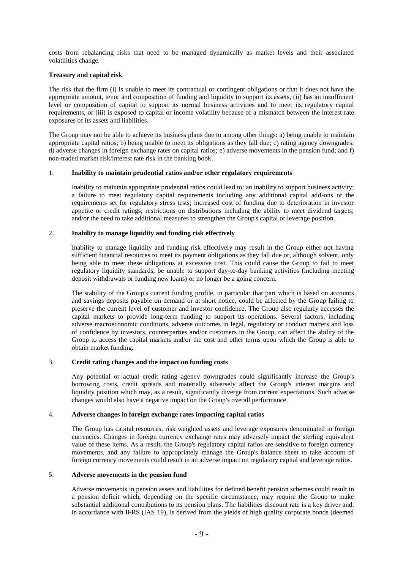costs from rebalancing risks that need to be managed dynamically as market levels and their associated volatilities change.

## **Treasury and capital risk**

The risk that the firm (i) is unable to meet its contractual or contingent obligations or that it does not have the appropriate amount, tenor and composition of funding and liquidity to support its assets, (ii) has an insufficient level or composition of capital to support its normal business activities and to meet its regulatory capital requirements, or (iii) is exposed to capital or income volatility because of a mismatch between the interest rate exposures of its assets and liabilities.

The Group may not be able to achieve its business plans due to among other things: a) being unable to maintain appropriate capital ratios; b) being unable to meet its obligations as they fall due; c) rating agency downgrades; d) adverse changes in foreign exchange rates on capital ratios; e) adverse movements in the pension fund; and f) non-traded market risk/interest rate risk in the banking book.

## 1. **Inability to maintain prudential ratios and/or other regulatory requirements**

Inability to maintain appropriate prudential ratios could lead to: an inability to support business activity; a failure to meet regulatory capital requirements including any additional capital add-ons or the requirements set for regulatory stress tests; increased cost of funding due to deterioration in investor appetite or credit ratings; restrictions on distributions including the ability to meet dividend targets; and/or the need to take additional measures to strengthen the Group's capital or leverage position.

## 2. **Inability to manage liquidity and funding risk effectively**

Inability to manage liquidity and funding risk effectively may result in the Group either not having sufficient financial resources to meet its payment obligations as they fall due or, although solvent, only being able to meet these obligations at excessive cost. This could cause the Group to fail to meet regulatory liquidity standards, be unable to support day-to-day banking activities (including meeting deposit withdrawals or funding new loans) or no longer be a going concern.

The stability of the Group's current funding profile, in particular that part which is based on accounts and savings deposits payable on demand or at short notice, could be affected by the Group failing to preserve the current level of customer and investor confidence. The Group also regularly accesses the capital markets to provide long-term funding to support its operations. Several factors, including adverse macroeconomic conditions, adverse outcomes in legal, regulatory or conduct matters and loss of confidence by investors, counterparties and/or customers in the Group, can affect the ability of the Group to access the capital markets and/or the cost and other terms upon which the Group is able to obtain market funding.

## 3. **Credit rating changes and the impact on funding costs**

Any potential or actual credit rating agency downgrades could significantly increase the Group's borrowing costs, credit spreads and materially adversely affect the Group's interest margins and liquidity position which may, as a result, significantly diverge from current expectations. Such adverse changes would also have a negative impact on the Group's overall performance.

## 4. **Adverse changes in foreign exchange rates impacting capital ratios**

The Group has capital resources, risk weighted assets and leverage exposures denominated in foreign currencies. Changes in foreign currency exchange rates may adversely impact the sterling equivalent value of these items. As a result, the Group's regulatory capital ratios are sensitive to foreign currency movements, and any failure to appropriately manage the Group's balance sheet to take account of foreign currency movements could result in an adverse impact on regulatory capital and leverage ratios.

## 5. **Adverse movements in the pension fund**

Adverse movements in pension assets and liabilities for defined benefit pension schemes could result in a pension deficit which, depending on the specific circumstance, may require the Group to make substantial additional contributions to its pension plans. The liabilities discount rate is a key driver and, in accordance with IFRS (IAS 19), is derived from the yields of high quality corporate bonds (deemed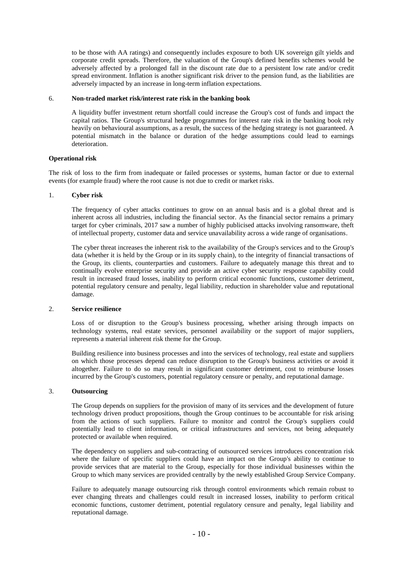to be those with AA ratings) and consequently includes exposure to both UK sovereign gilt yields and corporate credit spreads. Therefore, the valuation of the Group's defined benefits schemes would be adversely affected by a prolonged fall in the discount rate due to a persistent low rate and/or credit spread environment. Inflation is another significant risk driver to the pension fund, as the liabilities are adversely impacted by an increase in long-term inflation expectations.

#### 6. **Non-traded market risk/interest rate risk in the banking book**

A liquidity buffer investment return shortfall could increase the Group's cost of funds and impact the capital ratios. The Group's structural hedge programmes for interest rate risk in the banking book rely heavily on behavioural assumptions, as a result, the success of the hedging strategy is not guaranteed. A potential mismatch in the balance or duration of the hedge assumptions could lead to earnings deterioration.

#### **Operational risk**

The risk of loss to the firm from inadequate or failed processes or systems, human factor or due to external events (for example fraud) where the root cause is not due to credit or market risks.

#### 1. **Cyber risk**

The frequency of cyber attacks continues to grow on an annual basis and is a global threat and is inherent across all industries, including the financial sector. As the financial sector remains a primary target for cyber criminals, 2017 saw a number of highly publicised attacks involving ransomware, theft of intellectual property, customer data and service unavailability across a wide range of organisations.

The cyber threat increases the inherent risk to the availability of the Group's services and to the Group's data (whether it is held by the Group or in its supply chain), to the integrity of financial transactions of the Group, its clients, counterparties and customers. Failure to adequately manage this threat and to continually evolve enterprise security and provide an active cyber security response capability could result in increased fraud losses, inability to perform critical economic functions, customer detriment, potential regulatory censure and penalty, legal liability, reduction in shareholder value and reputational damage.

#### 2. **Service resilience**

Loss of or disruption to the Group's business processing, whether arising through impacts on technology systems, real estate services, personnel availability or the support of major suppliers, represents a material inherent risk theme for the Group.

Building resilience into business processes and into the services of technology, real estate and suppliers on which those processes depend can reduce disruption to the Group's business activities or avoid it altogether. Failure to do so may result in significant customer detriment, cost to reimburse losses incurred by the Group's customers, potential regulatory censure or penalty, and reputational damage.

## 3. **Outsourcing**

The Group depends on suppliers for the provision of many of its services and the development of future technology driven product propositions, though the Group continues to be accountable for risk arising from the actions of such suppliers. Failure to monitor and control the Group's suppliers could potentially lead to client information, or critical infrastructures and services, not being adequately protected or available when required.

The dependency on suppliers and sub-contracting of outsourced services introduces concentration risk where the failure of specific suppliers could have an impact on the Group's ability to continue to provide services that are material to the Group, especially for those individual businesses within the Group to which many services are provided centrally by the newly established Group Service Company.

Failure to adequately manage outsourcing risk through control environments which remain robust to ever changing threats and challenges could result in increased losses, inability to perform critical economic functions, customer detriment, potential regulatory censure and penalty, legal liability and reputational damage.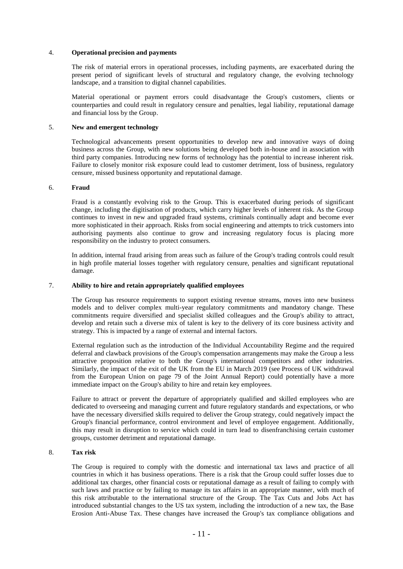### 4. **Operational precision and payments**

The risk of material errors in operational processes, including payments, are exacerbated during the present period of significant levels of structural and regulatory change, the evolving technology landscape, and a transition to digital channel capabilities.

Material operational or payment errors could disadvantage the Group's customers, clients or counterparties and could result in regulatory censure and penalties, legal liability, reputational damage and financial loss by the Group.

### 5. **New and emergent technology**

Technological advancements present opportunities to develop new and innovative ways of doing business across the Group, with new solutions being developed both in-house and in association with third party companies. Introducing new forms of technology has the potential to increase inherent risk. Failure to closely monitor risk exposure could lead to customer detriment, loss of business, regulatory censure, missed business opportunity and reputational damage.

#### 6. **Fraud**

Fraud is a constantly evolving risk to the Group. This is exacerbated during periods of significant change, including the digitisation of products, which carry higher levels of inherent risk. As the Group continues to invest in new and upgraded fraud systems, criminals continually adapt and become ever more sophisticated in their approach. Risks from social engineering and attempts to trick customers into authorising payments also continue to grow and increasing regulatory focus is placing more responsibility on the industry to protect consumers.

In addition, internal fraud arising from areas such as failure of the Group's trading controls could result in high profile material losses together with regulatory censure, penalties and significant reputational damage.

## 7. **Ability to hire and retain appropriately qualified employees**

The Group has resource requirements to support existing revenue streams, moves into new business models and to deliver complex multi-year regulatory commitments and mandatory change. These commitments require diversified and specialist skilled colleagues and the Group's ability to attract, develop and retain such a diverse mix of talent is key to the delivery of its core business activity and strategy. This is impacted by a range of external and internal factors.

External regulation such as the introduction of the Individual Accountability Regime and the required deferral and clawback provisions of the Group's compensation arrangements may make the Group a less attractive proposition relative to both the Group's international competitors and other industries. Similarly, the impact of the exit of the UK from the EU in March 2019 (see Process of UK withdrawal from the European Union on page 79 of the Joint Annual Report) could potentially have a more immediate impact on the Group's ability to hire and retain key employees.

Failure to attract or prevent the departure of appropriately qualified and skilled employees who are dedicated to overseeing and managing current and future regulatory standards and expectations, or who have the necessary diversified skills required to deliver the Group strategy, could negatively impact the Group's financial performance, control environment and level of employee engagement. Additionally, this may result in disruption to service which could in turn lead to disenfranchising certain customer groups, customer detriment and reputational damage.

#### 8. **Tax risk**

The Group is required to comply with the domestic and international tax laws and practice of all countries in which it has business operations. There is a risk that the Group could suffer losses due to additional tax charges, other financial costs or reputational damage as a result of failing to comply with such laws and practice or by failing to manage its tax affairs in an appropriate manner, with much of this risk attributable to the international structure of the Group. The Tax Cuts and Jobs Act has introduced substantial changes to the US tax system, including the introduction of a new tax, the Base Erosion Anti-Abuse Tax. These changes have increased the Group's tax compliance obligations and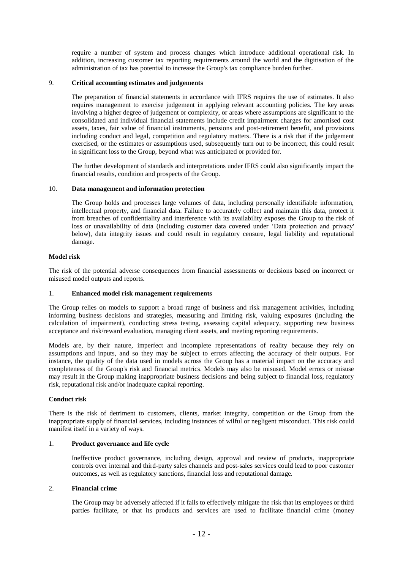require a number of system and process changes which introduce additional operational risk. In addition, increasing customer tax reporting requirements around the world and the digitisation of the administration of tax has potential to increase the Group's tax compliance burden further.

## 9. **Critical accounting estimates and judgements**

The preparation of financial statements in accordance with IFRS requires the use of estimates. It also requires management to exercise judgement in applying relevant accounting policies. The key areas involving a higher degree of judgement or complexity, or areas where assumptions are significant to the consolidated and individual financial statements include credit impairment charges for amortised cost assets, taxes, fair value of financial instruments, pensions and post-retirement benefit, and provisions including conduct and legal, competition and regulatory matters. There is a risk that if the judgement exercised, or the estimates or assumptions used, subsequently turn out to be incorrect, this could result in significant loss to the Group, beyond what was anticipated or provided for.

The further development of standards and interpretations under IFRS could also significantly impact the financial results, condition and prospects of the Group.

### 10. **Data management and information protection**

The Group holds and processes large volumes of data, including personally identifiable information, intellectual property, and financial data. Failure to accurately collect and maintain this data, protect it from breaches of confidentiality and interference with its availability exposes the Group to the risk of loss or unavailability of data (including customer data covered under 'Data protection and privacy' below), data integrity issues and could result in regulatory censure, legal liability and reputational damage.

#### **Model risk**

The risk of the potential adverse consequences from financial assessments or decisions based on incorrect or misused model outputs and reports.

## 1. **Enhanced model risk management requirements**

The Group relies on models to support a broad range of business and risk management activities, including informing business decisions and strategies, measuring and limiting risk, valuing exposures (including the calculation of impairment), conducting stress testing, assessing capital adequacy, supporting new business acceptance and risk/reward evaluation, managing client assets, and meeting reporting requirements.

Models are, by their nature, imperfect and incomplete representations of reality because they rely on assumptions and inputs, and so they may be subject to errors affecting the accuracy of their outputs. For instance, the quality of the data used in models across the Group has a material impact on the accuracy and completeness of the Group's risk and financial metrics. Models may also be misused. Model errors or misuse may result in the Group making inappropriate business decisions and being subject to financial loss, regulatory risk, reputational risk and/or inadequate capital reporting.

## **Conduct risk**

There is the risk of detriment to customers, clients, market integrity, competition or the Group from the inappropriate supply of financial services, including instances of wilful or negligent misconduct. This risk could manifest itself in a variety of ways.

#### 1. **Product governance and life cycle**

Ineffective product governance, including design, approval and review of products, inappropriate controls over internal and third-party sales channels and post-sales services could lead to poor customer outcomes, as well as regulatory sanctions, financial loss and reputational damage.

#### 2. **Financial crime**

The Group may be adversely affected if it fails to effectively mitigate the risk that its employees or third parties facilitate, or that its products and services are used to facilitate financial crime (money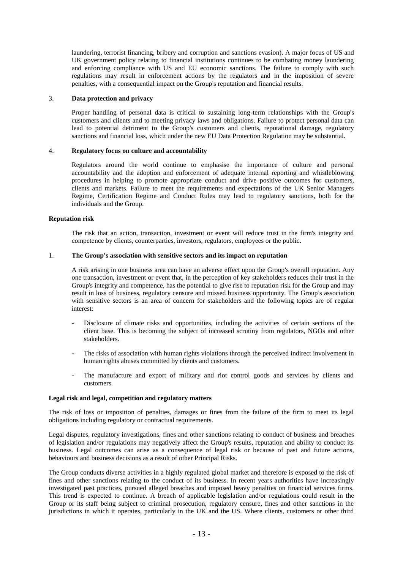laundering, terrorist financing, bribery and corruption and sanctions evasion). A major focus of US and UK government policy relating to financial institutions continues to be combating money laundering and enforcing compliance with US and EU economic sanctions. The failure to comply with such regulations may result in enforcement actions by the regulators and in the imposition of severe penalties, with a consequential impact on the Group's reputation and financial results.

### 3. **Data protection and privacy**

Proper handling of personal data is critical to sustaining long-term relationships with the Group's customers and clients and to meeting privacy laws and obligations. Failure to protect personal data can lead to potential detriment to the Group's customers and clients, reputational damage, regulatory sanctions and financial loss, which under the new EU Data Protection Regulation may be substantial.

#### 4. **Regulatory focus on culture and accountability**

Regulators around the world continue to emphasise the importance of culture and personal accountability and the adoption and enforcement of adequate internal reporting and whistleblowing procedures in helping to promote appropriate conduct and drive positive outcomes for customers, clients and markets. Failure to meet the requirements and expectations of the UK Senior Managers Regime, Certification Regime and Conduct Rules may lead to regulatory sanctions, both for the individuals and the Group.

## **Reputation risk**

The risk that an action, transaction, investment or event will reduce trust in the firm's integrity and competence by clients, counterparties, investors, regulators, employees or the public.

#### 1. **The Group's association with sensitive sectors and its impact on reputation**

A risk arising in one business area can have an adverse effect upon the Group's overall reputation. Any one transaction, investment or event that, in the perception of key stakeholders reduces their trust in the Group's integrity and competence, has the potential to give rise to reputation risk for the Group and may result in loss of business, regulatory censure and missed business opportunity. The Group's association with sensitive sectors is an area of concern for stakeholders and the following topics are of regular interest:

- Disclosure of climate risks and opportunities, including the activities of certain sections of the client base. This is becoming the subject of increased scrutiny from regulators, NGOs and other stakeholders.
- The risks of association with human rights violations through the perceived indirect involvement in human rights abuses committed by clients and customers.
- The manufacture and export of military and riot control goods and services by clients and customers.

#### **Legal risk and legal, competition and regulatory matters**

The risk of loss or imposition of penalties, damages or fines from the failure of the firm to meet its legal obligations including regulatory or contractual requirements.

Legal disputes, regulatory investigations, fines and other sanctions relating to conduct of business and breaches of legislation and/or regulations may negatively affect the Group's results, reputation and ability to conduct its business. Legal outcomes can arise as a consequence of legal risk or because of past and future actions, behaviours and business decisions as a result of other Principal Risks.

The Group conducts diverse activities in a highly regulated global market and therefore is exposed to the risk of fines and other sanctions relating to the conduct of its business. In recent years authorities have increasingly investigated past practices, pursued alleged breaches and imposed heavy penalties on financial services firms. This trend is expected to continue. A breach of applicable legislation and/or regulations could result in the Group or its staff being subject to criminal prosecution, regulatory censure, fines and other sanctions in the jurisdictions in which it operates, particularly in the UK and the US. Where clients, customers or other third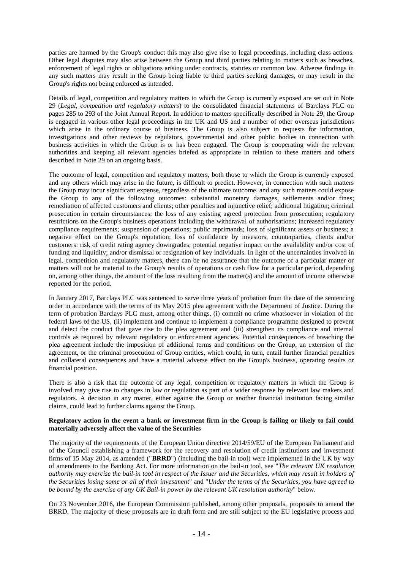parties are harmed by the Group's conduct this may also give rise to legal proceedings, including class actions. Other legal disputes may also arise between the Group and third parties relating to matters such as breaches, enforcement of legal rights or obligations arising under contracts, statutes or common law. Adverse findings in any such matters may result in the Group being liable to third parties seeking damages, or may result in the Group's rights not being enforced as intended.

Details of legal, competition and regulatory matters to which the Group is currently exposed are set out in Note 29 (*Legal, competition and regulatory matters*) to the consolidated financial statements of Barclays PLC on pages 285 to 293 of the Joint Annual Report. In addition to matters specifically described in Note 29, the Group is engaged in various other legal proceedings in the UK and US and a number of other overseas jurisdictions which arise in the ordinary course of business. The Group is also subject to requests for information, investigations and other reviews by regulators, governmental and other public bodies in connection with business activities in which the Group is or has been engaged. The Group is cooperating with the relevant authorities and keeping all relevant agencies briefed as appropriate in relation to these matters and others described in Note 29 on an ongoing basis.

The outcome of legal, competition and regulatory matters, both those to which the Group is currently exposed and any others which may arise in the future, is difficult to predict. However, in connection with such matters the Group may incur significant expense, regardless of the ultimate outcome, and any such matters could expose the Group to any of the following outcomes: substantial monetary damages, settlements and/or fines; remediation of affected customers and clients; other penalties and injunctive relief; additional litigation; criminal prosecution in certain circumstances; the loss of any existing agreed protection from prosecution; regulatory restrictions on the Group's business operations including the withdrawal of authorisations; increased regulatory compliance requirements; suspension of operations; public reprimands; loss of significant assets or business; a negative effect on the Group's reputation; loss of confidence by investors, counterparties, clients and/or customers; risk of credit rating agency downgrades; potential negative impact on the availability and/or cost of funding and liquidity; and/or dismissal or resignation of key individuals. In light of the uncertainties involved in legal, competition and regulatory matters, there can be no assurance that the outcome of a particular matter or matters will not be material to the Group's results of operations or cash flow for a particular period, depending on, among other things, the amount of the loss resulting from the matter(s) and the amount of income otherwise reported for the period.

In January 2017, Barclays PLC was sentenced to serve three years of probation from the date of the sentencing order in accordance with the terms of its May 2015 plea agreement with the Department of Justice. During the term of probation Barclays PLC must, among other things, (i) commit no crime whatsoever in violation of the federal laws of the US, (ii) implement and continue to implement a compliance programme designed to prevent and detect the conduct that gave rise to the plea agreement and (iii) strengthen its compliance and internal controls as required by relevant regulatory or enforcement agencies. Potential consequences of breaching the plea agreement include the imposition of additional terms and conditions on the Group, an extension of the agreement, or the criminal prosecution of Group entities, which could, in turn, entail further financial penalties and collateral consequences and have a material adverse effect on the Group's business, operating results or financial position.

There is also a risk that the outcome of any legal, competition or regulatory matters in which the Group is involved may give rise to changes in law or regulation as part of a wider response by relevant law makers and regulators. A decision in any matter, either against the Group or another financial institution facing similar claims, could lead to further claims against the Group.

#### **Regulatory action in the event a bank or investment firm in the Group is failing or likely to fail could materially adversely affect the value of the Securities**

The majority of the requirements of the European Union directive 2014/59/EU of the European Parliament and of the Council establishing a framework for the recovery and resolution of credit institutions and investment firms of 15 May 2014, as amended ("**BRRD**") (including the bail-in tool) were implemented in the UK by way of amendments to the Banking Act. For more information on the bail-in tool, see "*The relevant UK resolution authority may exercise the bail-in tool in respect of the Issuer and the Securities, which may result in holders of the Securities losing some or all of their investment*" and "*Under the terms of the Securities, you have agreed to be bound by the exercise of any UK Bail-in power by the relevant UK resolution authority*" below.

On 23 November 2016, the European Commission published, among other proposals, proposals to amend the BRRD. The majority of these proposals are in draft form and are still subject to the EU legislative process and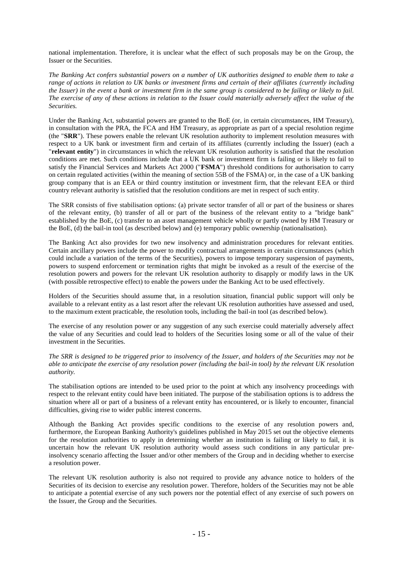national implementation. Therefore, it is unclear what the effect of such proposals may be on the Group, the Issuer or the Securities.

*The Banking Act confers substantial powers on a number of UK authorities designed to enable them to take a range of actions in relation to UK banks or investment firms and certain of their affiliates (currently including the Issuer) in the event a bank or investment firm in the same group is considered to be failing or likely to fail. The exercise of any of these actions in relation to the Issuer could materially adversely affect the value of the Securities.*

Under the Banking Act, substantial powers are granted to the BoE (or, in certain circumstances, HM Treasury), in consultation with the PRA, the FCA and HM Treasury, as appropriate as part of a special resolution regime (the "**SRR**"). These powers enable the relevant UK resolution authority to implement resolution measures with respect to a UK bank or investment firm and certain of its affiliates (currently including the Issuer) (each a "**relevant entity**") in circumstances in which the relevant UK resolution authority is satisfied that the resolution conditions are met. Such conditions include that a UK bank or investment firm is failing or is likely to fail to satisfy the Financial Services and Markets Act 2000 ("**FSMA**") threshold conditions for authorisation to carry on certain regulated activities (within the meaning of section 55B of the FSMA) or, in the case of a UK banking group company that is an EEA or third country institution or investment firm, that the relevant EEA or third country relevant authority is satisfied that the resolution conditions are met in respect of such entity.

The SRR consists of five stabilisation options: (a) private sector transfer of all or part of the business or shares of the relevant entity, (b) transfer of all or part of the business of the relevant entity to a "bridge bank" established by the BoE, (c) transfer to an asset management vehicle wholly or partly owned by HM Treasury or the BoE, (d) the bail-in tool (as described below) and (e) temporary public ownership (nationalisation).

The Banking Act also provides for two new insolvency and administration procedures for relevant entities. Certain ancillary powers include the power to modify contractual arrangements in certain circumstances (which could include a variation of the terms of the Securities), powers to impose temporary suspension of payments, powers to suspend enforcement or termination rights that might be invoked as a result of the exercise of the resolution powers and powers for the relevant UK resolution authority to disapply or modify laws in the UK (with possible retrospective effect) to enable the powers under the Banking Act to be used effectively.

Holders of the Securities should assume that, in a resolution situation, financial public support will only be available to a relevant entity as a last resort after the relevant UK resolution authorities have assessed and used, to the maximum extent practicable, the resolution tools, including the bail-in tool (as described below).

The exercise of any resolution power or any suggestion of any such exercise could materially adversely affect the value of any Securities and could lead to holders of the Securities losing some or all of the value of their investment in the Securities.

*The SRR is designed to be triggered prior to insolvency of the Issuer, and holders of the Securities may not be able to anticipate the exercise of any resolution power (including the bail-in tool) by the relevant UK resolution authority.*

The stabilisation options are intended to be used prior to the point at which any insolvency proceedings with respect to the relevant entity could have been initiated. The purpose of the stabilisation options is to address the situation where all or part of a business of a relevant entity has encountered, or is likely to encounter, financial difficulties, giving rise to wider public interest concerns.

Although the Banking Act provides specific conditions to the exercise of any resolution powers and, furthermore, the European Banking Authority's guidelines published in May 2015 set out the objective elements for the resolution authorities to apply in determining whether an institution is failing or likely to fail, it is uncertain how the relevant UK resolution authority would assess such conditions in any particular preinsolvency scenario affecting the Issuer and/or other members of the Group and in deciding whether to exercise a resolution power.

The relevant UK resolution authority is also not required to provide any advance notice to holders of the Securities of its decision to exercise any resolution power. Therefore, holders of the Securities may not be able to anticipate a potential exercise of any such powers nor the potential effect of any exercise of such powers on the Issuer, the Group and the Securities.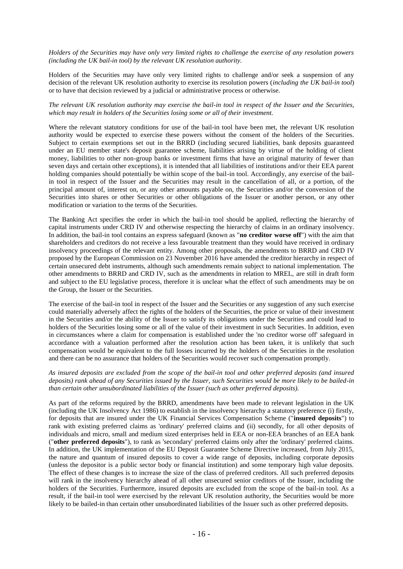*Holders of the Securities may have only very limited rights to challenge the exercise of any resolution powers (including the UK bail-in tool) by the relevant UK resolution authority.*

Holders of the Securities may have only very limited rights to challenge and/or seek a suspension of any decision of the relevant UK resolution authority to exercise its resolution powers (*including the UK bail-in tool*) or to have that decision reviewed by a judicial or administrative process or otherwise.

## *The relevant UK resolution authority may exercise the bail-in tool in respect of the Issuer and the Securities, which may result in holders of the Securities losing some or all of their investment.*

Where the relevant statutory conditions for use of the bail-in tool have been met, the relevant UK resolution authority would be expected to exercise these powers without the consent of the holders of the Securities. Subject to certain exemptions set out in the BRRD (including secured liabilities, bank deposits guaranteed under an EU member state's deposit guarantee scheme, liabilities arising by virtue of the holding of client money, liabilities to other non-group banks or investment firms that have an original maturity of fewer than seven days and certain other exceptions), it is intended that all liabilities of institutions and/or their EEA parent holding companies should potentially be within scope of the bail-in tool. Accordingly, any exercise of the bailin tool in respect of the Issuer and the Securities may result in the cancellation of all, or a portion, of the principal amount of, interest on, or any other amounts payable on, the Securities and/or the conversion of the Securities into shares or other Securities or other obligations of the Issuer or another person, or any other modification or variation to the terms of the Securities.

The Banking Act specifies the order in which the bail-in tool should be applied, reflecting the hierarchy of capital instruments under CRD IV and otherwise respecting the hierarchy of claims in an ordinary insolvency. In addition, the bail-in tool contains an express safeguard (known as "**no creditor worse off**") with the aim that shareholders and creditors do not receive a less favourable treatment than they would have received in ordinary insolvency proceedings of the relevant entity. Among other proposals, the amendments to BRRD and CRD IV proposed by the European Commission on 23 November 2016 have amended the creditor hierarchy in respect of certain unsecured debt instruments, although such amendments remain subject to national implementation. The other amendments to BRRD and CRD IV, such as the amendments in relation to MREL, are still in draft form and subject to the EU legislative process, therefore it is unclear what the effect of such amendments may be on the Group, the Issuer or the Securities.

The exercise of the bail-in tool in respect of the Issuer and the Securities or any suggestion of any such exercise could materially adversely affect the rights of the holders of the Securities, the price or value of their investment in the Securities and/or the ability of the Issuer to satisfy its obligations under the Securities and could lead to holders of the Securities losing some or all of the value of their investment in such Securities. In addition, even in circumstances where a claim for compensation is established under the 'no creditor worse off' safeguard in accordance with a valuation performed after the resolution action has been taken, it is unlikely that such compensation would be equivalent to the full losses incurred by the holders of the Securities in the resolution and there can be no assurance that holders of the Securities would recover such compensation promptly.

#### *As insured deposits are excluded from the scope of the bail-in tool and other preferred deposits (and insured deposits) rank ahead of any Securities issued by the Issuer, such Securities would be more likely to be bailed-in than certain other unsubordinated liabilities of the Issuer (such as other preferred deposits).*

As part of the reforms required by the BRRD, amendments have been made to relevant legislation in the UK (including the UK Insolvency Act 1986) to establish in the insolvency hierarchy a statutory preference (i) firstly, for deposits that are insured under the UK Financial Services Compensation Scheme ("**insured deposits**") to rank with existing preferred claims as 'ordinary' preferred claims and (ii) secondly, for all other deposits of individuals and micro, small and medium sized enterprises held in EEA or non-EEA branches of an EEA bank ("**other preferred deposits**"), to rank as 'secondary' preferred claims only after the 'ordinary' preferred claims. In addition, the UK implementation of the EU Deposit Guarantee Scheme Directive increased, from July 2015, the nature and quantum of insured deposits to cover a wide range of deposits, including corporate deposits (unless the depositor is a public sector body or financial institution) and some temporary high value deposits. The effect of these changes is to increase the size of the class of preferred creditors. All such preferred deposits will rank in the insolvency hierarchy ahead of all other unsecured senior creditors of the Issuer, including the holders of the Securities. Furthermore, insured deposits are excluded from the scope of the bail-in tool. As a result, if the bail-in tool were exercised by the relevant UK resolution authority, the Securities would be more likely to be bailed-in than certain other unsubordinated liabilities of the Issuer such as other preferred deposits.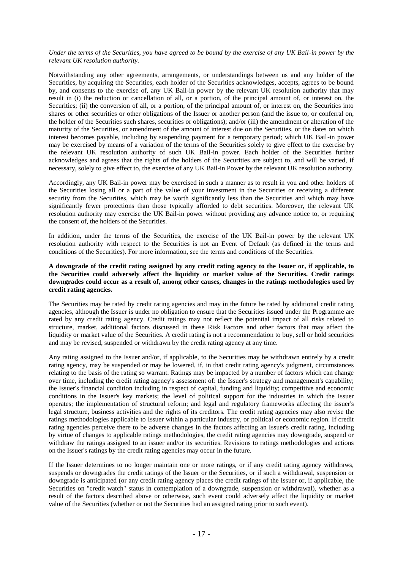## *Under the terms of the Securities, you have agreed to be bound by the exercise of any UK Bail-in power by the relevant UK resolution authority.*

Notwithstanding any other agreements, arrangements, or understandings between us and any holder of the Securities, by acquiring the Securities, each holder of the Securities acknowledges, accepts, agrees to be bound by, and consents to the exercise of, any UK Bail-in power by the relevant UK resolution authority that may result in (i) the reduction or cancellation of all, or a portion, of the principal amount of, or interest on, the Securities; (ii) the conversion of all, or a portion, of the principal amount of, or interest on, the Securities into shares or other securities or other obligations of the Issuer or another person (and the issue to, or conferral on, the holder of the Securities such shares, securities or obligations); and/or (iii) the amendment or alteration of the maturity of the Securities, or amendment of the amount of interest due on the Securities, or the dates on which interest becomes payable, including by suspending payment for a temporary period; which UK Bail-in power may be exercised by means of a variation of the terms of the Securities solely to give effect to the exercise by the relevant UK resolution authority of such UK Bail-in power. Each holder of the Securities further acknowledges and agrees that the rights of the holders of the Securities are subject to, and will be varied, if necessary, solely to give effect to, the exercise of any UK Bail-in Power by the relevant UK resolution authority.

Accordingly, any UK Bail-in power may be exercised in such a manner as to result in you and other holders of the Securities losing all or a part of the value of your investment in the Securities or receiving a different security from the Securities, which may be worth significantly less than the Securities and which may have significantly fewer protections than those typically afforded to debt securities. Moreover, the relevant UK resolution authority may exercise the UK Bail-in power without providing any advance notice to, or requiring the consent of, the holders of the Securities.

In addition, under the terms of the Securities, the exercise of the UK Bail-in power by the relevant UK resolution authority with respect to the Securities is not an Event of Default (as defined in the terms and conditions of the Securities). For more information, see the terms and conditions of the Securities.

## **A downgrade of the credit rating assigned by any credit rating agency to the Issuer or, if applicable, to the Securities could adversely affect the liquidity or market value of the Securities. Credit ratings downgrades could occur as a result of, among other causes, changes in the ratings methodologies used by credit rating agencies.**

The Securities may be rated by credit rating agencies and may in the future be rated by additional credit rating agencies, although the Issuer is under no obligation to ensure that the Securities issued under the Programme are rated by any credit rating agency. Credit ratings may not reflect the potential impact of all risks related to structure, market, additional factors discussed in these Risk Factors and other factors that may affect the liquidity or market value of the Securities. A credit rating is not a recommendation to buy, sell or hold securities and may be revised, suspended or withdrawn by the credit rating agency at any time.

Any rating assigned to the Issuer and/or, if applicable, to the Securities may be withdrawn entirely by a credit rating agency, may be suspended or may be lowered, if, in that credit rating agency's judgment, circumstances relating to the basis of the rating so warrant. Ratings may be impacted by a number of factors which can change over time, including the credit rating agency's assessment of: the Issuer's strategy and management's capability; the Issuer's financial condition including in respect of capital, funding and liquidity; competitive and economic conditions in the Issuer's key markets; the level of political support for the industries in which the Issuer operates; the implementation of structural reform; and legal and regulatory frameworks affecting the issuer's legal structure, business activities and the rights of its creditors. The credit rating agencies may also revise the ratings methodologies applicable to Issuer within a particular industry, or political or economic region. If credit rating agencies perceive there to be adverse changes in the factors affecting an Issuer's credit rating, including by virtue of changes to applicable ratings methodologies, the credit rating agencies may downgrade, suspend or withdraw the ratings assigned to an issuer and/or its securities. Revisions to ratings methodologies and actions on the Issuer's ratings by the credit rating agencies may occur in the future.

If the Issuer determines to no longer maintain one or more ratings, or if any credit rating agency withdraws, suspends or downgrades the credit ratings of the Issuer or the Securities, or if such a withdrawal, suspension or downgrade is anticipated (or any credit rating agency places the credit ratings of the Issuer or, if applicable, the Securities on "credit watch" status in contemplation of a downgrade, suspension or withdrawal), whether as a result of the factors described above or otherwise, such event could adversely affect the liquidity or market value of the Securities (whether or not the Securities had an assigned rating prior to such event).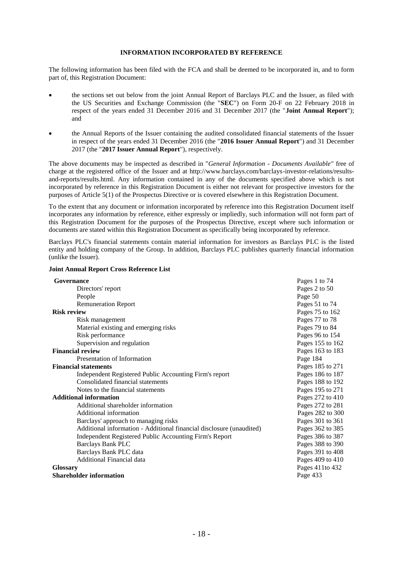## **INFORMATION INCORPORATED BY REFERENCE**

The following information has been filed with the FCA and shall be deemed to be incorporated in, and to form part of, this Registration Document:

- the sections set out below from the joint Annual Report of Barclays PLC and the Issuer, as filed with the US Securities and Exchange Commission (the "**SEC**") on Form 20-F on 22 February 2018 in respect of the years ended 31 December 2016 and 31 December 2017 (the "**Joint Annual Report**"); and
- the Annual Reports of the Issuer containing the audited consolidated financial statements of the Issuer in respect of the years ended 31 December 2016 (the "**2016 Issuer Annual Report**") and 31 December 2017 (the "**2017 Issuer Annual Report**"), respectively.

The above documents may be inspected as described in "*General Information - Documents Available"* free of charge at the registered office of the Issuer and at http://www.barclays.com/barclays-investor-relations/resultsand-reports/results.html. Any information contained in any of the documents specified above which is not incorporated by reference in this Registration Document is either not relevant for prospective investors for the purposes of Article 5(1) of the Prospectus Directive or is covered elsewhere in this Registration Document.

To the extent that any document or information incorporated by reference into this Registration Document itself incorporates any information by reference, either expressly or impliedly, such information will not form part of this Registration Document for the purposes of the Prospectus Directive, except where such information or documents are stated within this Registration Document as specifically being incorporated by reference.

Barclays PLC's financial statements contain material information for investors as Barclays PLC is the listed entity and holding company of the Group. In addition, Barclays PLC publishes quarterly financial information (unlike the Issuer).

| Governance                                                           | Pages 1 to 74    |
|----------------------------------------------------------------------|------------------|
| Directors' report                                                    | Pages 2 to 50    |
| People                                                               | Page 50          |
| <b>Remuneration Report</b>                                           | Pages 51 to 74   |
| <b>Risk review</b>                                                   | Pages 75 to 162  |
| Risk management                                                      | Pages 77 to 78   |
| Material existing and emerging risks                                 | Pages 79 to 84   |
| Risk performance                                                     | Pages 96 to 154  |
| Supervision and regulation                                           | Pages 155 to 162 |
| <b>Financial review</b>                                              | Pages 163 to 183 |
| Presentation of Information                                          | Page 184         |
| <b>Financial statements</b>                                          | Pages 185 to 271 |
| Independent Registered Public Accounting Firm's report               | Pages 186 to 187 |
| Consolidated financial statements                                    | Pages 188 to 192 |
| Notes to the financial statements                                    | Pages 195 to 271 |
| <b>Additional information</b>                                        | Pages 272 to 410 |
| Additional shareholder information                                   | Pages 272 to 281 |
| Additional information                                               | Pages 282 to 300 |
| Barclays' approach to managing risks                                 | Pages 301 to 361 |
| Additional information - Additional financial disclosure (unaudited) | Pages 362 to 385 |
| Independent Registered Public Accounting Firm's Report               | Pages 386 to 387 |
| <b>Barclays Bank PLC</b>                                             | Pages 388 to 390 |
| Barclays Bank PLC data                                               | Pages 391 to 408 |
| Additional Financial data                                            | Pages 409 to 410 |
| <b>Glossary</b>                                                      | Pages 411to 432  |
| <b>Shareholder information</b>                                       | Page 433         |

## **Joint Annual Report Cross Reference List**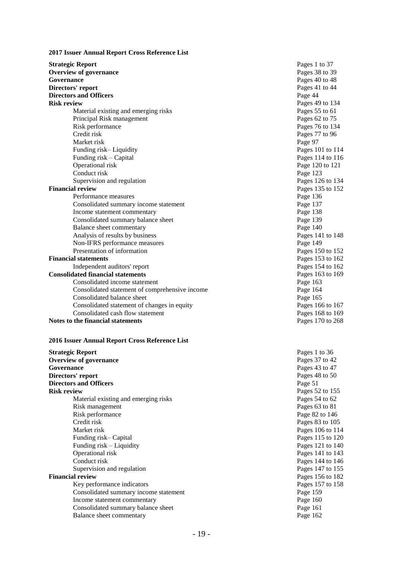| 2017 Issuer Annual Report Cross Reference List |  |  |  |
|------------------------------------------------|--|--|--|
|------------------------------------------------|--|--|--|

**Strategic Report Overview of governance**<br>Governance **Governance** Pages 40 to 48 **Directors' report** Pages 41 **Directors and Officers Pages 41 Directors and Officers Directors and Officers<br>
Risk review** Material existing and emerging risks Principal Risk management Risk performance Credit risk Pages Market risk Funding risk– Liquidity Pages 101 to 114 Funding risk Operational risk Page 120<br>
Conduct risk Page 123 Conduct risk Page 123<br>Supervision and regulation expansion of Pages 126 to 134 Supervision and regulation **Financial review** Pages 135<br>Performance measures **Pages** 136 Performance measures Consolidated summary income statement Page 137 Income statement commentary Page 138<br>
Consolidated summary balance sheet Page 139 Consolidated summary balance sheet Balance sheet commentary **Page 140** Analysis of results by business Pages 14 Property Pages 14 Property Pages 14 Property Page 149 Non -IFRS performance measures Page 149 Presentation of information **Financial statements** Independent auditors' report Pages 154 to 162<br> **Pages 154 to 162**<br>
Pages 163 to 169 **Consolidated financial statements** Pages 163<br>
Consolidated income statement Page 163 Consolidated income statement Consolidated statement of comprehensive income Page 164 Consolidated balance sheet Page 165 Consolidated statement of changes in equity Pages 166 to 167 Consolidated cash flow statement Pages 168 to 169 **Notes to the financial statements Pages 170 to 268** 

#### **2016 Issuer Annual Report Cross Reference List**

| <b>Strategic Report</b>               | Pages 1 t |
|---------------------------------------|-----------|
| <b>Overview of governance</b>         | Pages 37  |
| Governance                            | Pages 43  |
| Directors' report                     | Pages 48  |
| <b>Directors and Officers</b>         | Page 51   |
| <b>Risk review</b>                    | Pages 52  |
| Material existing and emerging risks  | Pages 54  |
| Risk management                       | Pages 63  |
| Risk performance                      | Page 82 t |
| Credit risk                           | Pages 83  |
| Market risk                           | Pages 10  |
| Funding risk–Capital                  | Pages 11  |
| Funding risk – Liquidity              | Pages 12  |
| Operational risk                      | Pages 14  |
| Conduct risk                          | Pages 14  |
| Supervision and regulation            | Pages 14  |
| <b>Financial review</b>               | Pages 15  |
| Key performance indicators            | Pages 15  |
| Consolidated summary income statement | Page 159  |
| Income statement commentary           | Page 160  |
| Consolidated summary balance sheet    | Page 161  |
| Balance sheet commentary              | Page 162  |

Pages 1 to 36 Pages 37 to 42 Pages 43 to 47 Pages 48 to 50 Pages 52 to 155 Pages  $54$  to  $62$ Pages 63 to 81 Page 82 to 146 Pages 83 to 105 Pages 106 to 114 Pages  $115$  to  $120$ Pages 121 to 140 Pages 141 to 143 Pages 144 to 146 Pages 147 to 155 **Financial review** Pages 156 to 182 Pages 157 to 158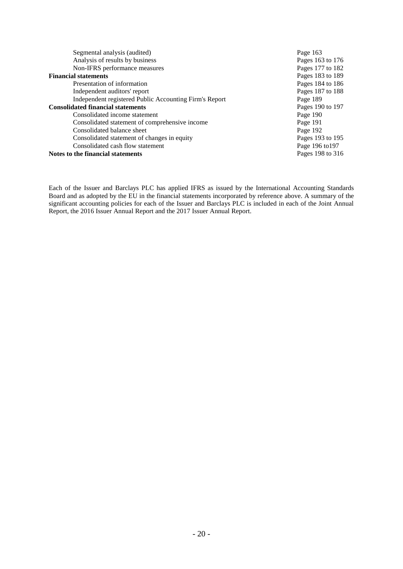| Segmental analysis (audited)                           | Page 163         |
|--------------------------------------------------------|------------------|
| Analysis of results by business                        | Pages 163 to 176 |
| Non-IFRS performance measures                          | Pages 177 to 182 |
| <b>Financial statements</b>                            | Pages 183 to 189 |
| Presentation of information                            | Pages 184 to 186 |
| Independent auditors' report                           | Pages 187 to 188 |
| Independent registered Public Accounting Firm's Report | Page 189         |
| <b>Consolidated financial statements</b>               | Pages 190 to 197 |
| Consolidated income statement                          | Page 190         |
| Consolidated statement of comprehensive income         | Page 191         |
| Consolidated balance sheet                             | Page 192         |
| Consolidated statement of changes in equity            | Pages 193 to 195 |
| Consolidated cash flow statement                       | Page 196 to 197  |
| Notes to the financial statements                      | Pages 198 to 316 |

Each of the Issuer and Barclays PLC has applied IFRS as issued by the International Accounting Standards Board and as adopted by the EU in the financial statements incorporated by reference above. A summary of the significant accounting policies for each of the Issuer and Barclays PLC is included in each of the Joint Annual Report, the 2016 Issuer Annual Report and the 2017 Issuer Annual Report.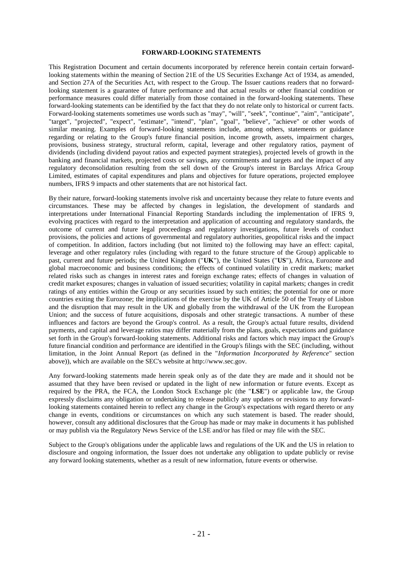#### **FORWARD-LOOKING STATEMENTS**

This Registration Document and certain documents incorporated by reference herein contain certain forwardlooking statements within the meaning of Section 21E of the US Securities Exchange Act of 1934, as amended, and Section 27A of the Securities Act, with respect to the Group. The Issuer cautions readers that no forwardlooking statement is a guarantee of future performance and that actual results or other financial condition or performance measures could differ materially from those contained in the forward-looking statements. These forward-looking statements can be identified by the fact that they do not relate only to historical or current facts. Forward-looking statements sometimes use words such as "may", "will", "seek", "continue", "aim", "anticipate", "target", "projected", "expect", "estimate", "intend", "plan", "goal", "believe", "achieve" or other words of similar meaning. Examples of forward-looking statements include, among others, statements or guidance regarding or relating to the Group's future financial position, income growth, assets, impairment charges, provisions, business strategy, structural reform, capital, leverage and other regulatory ratios, payment of dividends (including dividend payout ratios and expected payment strategies), projected levels of growth in the banking and financial markets, projected costs or savings, any commitments and targets and the impact of any regulatory deconsolidation resulting from the sell down of the Group's interest in Barclays Africa Group Limited, estimates of capital expenditures and plans and objectives for future operations, projected employee numbers, IFRS 9 impacts and other statements that are not historical fact.

By their nature, forward-looking statements involve risk and uncertainty because they relate to future events and circumstances. These may be affected by changes in legislation, the development of standards and interpretations under International Financial Reporting Standards including the implementation of IFRS 9, evolving practices with regard to the interpretation and application of accounting and regulatory standards, the outcome of current and future legal proceedings and regulatory investigations, future levels of conduct provisions, the policies and actions of governmental and regulatory authorities, geopolitical risks and the impact of competition. In addition, factors including (but not limited to) the following may have an effect: capital, leverage and other regulatory rules (including with regard to the future structure of the Group) applicable to past, current and future periods; the United Kingdom ("**UK**"), the United States ("**US**"), Africa, Eurozone and global macroeconomic and business conditions; the effects of continued volatility in credit markets; market related risks such as changes in interest rates and foreign exchange rates; effects of changes in valuation of credit market exposures; changes in valuation of issued securities; volatility in capital markets; changes in credit ratings of any entities within the Group or any securities issued by such entities; the potential for one or more countries exiting the Eurozone; the implications of the exercise by the UK of Article 50 of the Treaty of Lisbon and the disruption that may result in the UK and globally from the withdrawal of the UK from the European Union; and the success of future acquisitions, disposals and other strategic transactions. A number of these influences and factors are beyond the Group's control. As a result, the Group's actual future results, dividend payments, and capital and leverage ratios may differ materially from the plans, goals, expectations and guidance set forth in the Group's forward-looking statements. Additional risks and factors which may impact the Group's future financial condition and performance are identified in the Group's filings with the SEC (including, without limitation, in the Joint Annual Report (as defined in the "*Information Incorporated by Reference*" section above)), which are available on the SEC's website at http://www.sec.gov.

Any forward-looking statements made herein speak only as of the date they are made and it should not be assumed that they have been revised or updated in the light of new information or future events. Except as required by the PRA, the FCA, the London Stock Exchange plc (the "**LSE**") or applicable law, the Group expressly disclaims any obligation or undertaking to release publicly any updates or revisions to any forwardlooking statements contained herein to reflect any change in the Group's expectations with regard thereto or any change in events, conditions or circumstances on which any such statement is based. The reader should, however, consult any additional disclosures that the Group has made or may make in documents it has published or may publish via the Regulatory News Service of the LSE and/or has filed or may file with the SEC.

Subject to the Group's obligations under the applicable laws and regulations of the UK and the US in relation to disclosure and ongoing information, the Issuer does not undertake any obligation to update publicly or revise any forward looking statements, whether as a result of new information, future events or otherwise.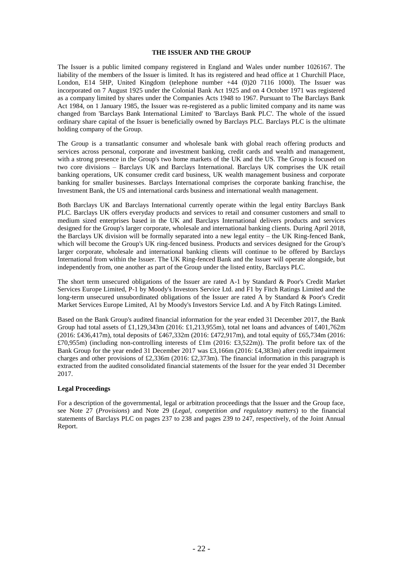#### **THE ISSUER AND THE GROUP**

The Issuer is a public limited company registered in England and Wales under number 1026167. The liability of the members of the Issuer is limited. It has its registered and head office at 1 Churchill Place, London, E14 5HP, United Kingdom (telephone number +44 (0)20 7116 1000). The Issuer was incorporated on 7 August 1925 under the Colonial Bank Act 1925 and on 4 October 1971 was registered as a company limited by shares under the Companies Acts 1948 to 1967. Pursuant to The Barclays Bank Act 1984, on 1 January 1985, the Issuer was re-registered as a public limited company and its name was changed from 'Barclays Bank International Limited' to 'Barclays Bank PLC'. The whole of the issued ordinary share capital of the Issuer is beneficially owned by Barclays PLC. Barclays PLC is the ultimate holding company of the Group.

The Group is a transatlantic consumer and wholesale bank with global reach offering products and services across personal, corporate and investment banking, credit cards and wealth and management, with a strong presence in the Group's two home markets of the UK and the US. The Group is focused on two core divisions – Barclays UK and Barclays International. Barclays UK comprises the UK retail banking operations, UK consumer credit card business, UK wealth management business and corporate banking for smaller businesses. Barclays International comprises the corporate banking franchise, the Investment Bank, the US and international cards business and international wealth management.

Both Barclays UK and Barclays International currently operate within the legal entity Barclays Bank PLC. Barclays UK offers everyday products and services to retail and consumer customers and small to medium sized enterprises based in the UK and Barclays International delivers products and services designed for the Group's larger corporate, wholesale and international banking clients. During April 2018, the Barclays UK division will be formally separated into a new legal entity – the UK Ring-fenced Bank, which will become the Group's UK ring-fenced business. Products and services designed for the Group's larger corporate, wholesale and international banking clients will continue to be offered by Barclays International from within the Issuer. The UK Ring-fenced Bank and the Issuer will operate alongside, but independently from, one another as part of the Group under the listed entity, Barclays PLC.

The short term unsecured obligations of the Issuer are rated A-1 by Standard & Poor's Credit Market Services Europe Limited, P-1 by Moody's Investors Service Ltd. and F1 by Fitch Ratings Limited and the long-term unsecured unsubordinated obligations of the Issuer are rated A by Standard & Poor's Credit Market Services Europe Limited, A1 by Moody's Investors Service Ltd. and A by Fitch Ratings Limited.

Based on the Bank Group's audited financial information for the year ended 31 December 2017, the Bank Group had total assets of £1,129,343m (2016: £1,213,955m), total net loans and advances of £401,762m (2016: £436,417m), total deposits of £467,332m (2016: £472,917m), and total equity of £65,734m (2016: £70,955m) (including non-controlling interests of £1m (2016: £3,522m)). The profit before tax of the Bank Group for the year ended 31 December 2017 was £3,166m (2016: £4,383m) after credit impairment charges and other provisions of £2,336m (2016: £2,373m). The financial information in this paragraph is extracted from the audited consolidated financial statements of the Issuer for the year ended 31 December 2017.

## **Legal Proceedings**

For a description of the governmental, legal or arbitration proceedings that the Issuer and the Group face, see Note 27 (*Provisions*) and Note 29 (*Legal, competition and regulatory matters*) to the financial statements of Barclays PLC on pages 237 to 238 and pages 239 to 247, respectively, of the Joint Annual Report.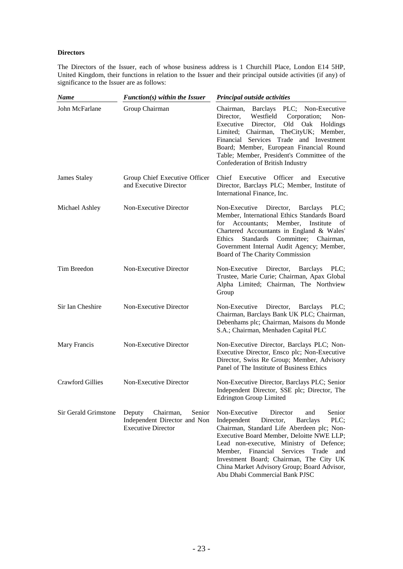## **Directors**

The Directors of the Issuer, each of whose business address is 1 Churchill Place, London E14 5HP, United Kingdom, their functions in relation to the Issuer and their principal outside activities (if any) of significance to the Issuer are as follows:

| <b>Name</b>             | $Function(s)$ within the Issuer                                                            | Principal outside activities                                                                                                                                                                                                                                                                                                                                                                                             |
|-------------------------|--------------------------------------------------------------------------------------------|--------------------------------------------------------------------------------------------------------------------------------------------------------------------------------------------------------------------------------------------------------------------------------------------------------------------------------------------------------------------------------------------------------------------------|
| John McFarlane          | Group Chairman                                                                             | Chairman, Barclays PLC; Non-Executive<br>Westfield<br>Director,<br>Corporation;<br>Non-<br>Executive<br>Director,<br>Old<br>Oak<br>Holdings<br>TheCityUK;<br>Limited; Chairman,<br>Member,<br>Financial Services Trade and Investment<br>Board; Member, European Financial Round<br>Table; Member, President's Committee of the<br>Confederation of British Industry                                                     |
| James Staley            | Group Chief Executive Officer<br>and Executive Director                                    | Chief Executive<br>Officer<br>and<br>Executive<br>Director, Barclays PLC; Member, Institute of<br>International Finance, Inc.                                                                                                                                                                                                                                                                                            |
| Michael Ashley          | Non-Executive Director                                                                     | Director,<br>Barclays<br>PLC:<br>Non-Executive<br>Member, International Ethics Standards Board<br>Accountants;<br>Member,<br>for<br>Institute<br>of<br>Chartered Accountants in England & Wales'<br>Ethics<br><b>Standards</b><br>Committee;<br>Chairman,<br>Government Internal Audit Agency; Member,<br>Board of The Charity Commission                                                                                |
| Tim Breedon             | Non-Executive Director                                                                     | Non-Executive<br>Director,<br><b>Barclays</b><br>PLC:<br>Trustee, Marie Curie; Chairman, Apax Global<br>Alpha Limited; Chairman, The Northview<br>Group                                                                                                                                                                                                                                                                  |
| Sir Ian Cheshire        | Non-Executive Director                                                                     | Non-Executive<br>Director, Barclays<br>PLC:<br>Chairman, Barclays Bank UK PLC; Chairman,<br>Debenhams plc; Chairman, Maisons du Monde<br>S.A.; Chairman, Menhaden Capital PLC                                                                                                                                                                                                                                            |
| Mary Francis            | Non-Executive Director                                                                     | Non-Executive Director, Barclays PLC; Non-<br>Executive Director, Ensco plc; Non-Executive<br>Director, Swiss Re Group; Member, Advisory<br>Panel of The Institute of Business Ethics                                                                                                                                                                                                                                    |
| <b>Crawford Gillies</b> | Non-Executive Director                                                                     | Non-Executive Director, Barclays PLC; Senior<br>Independent Director, SSE plc; Director, The<br><b>Edrington Group Limited</b>                                                                                                                                                                                                                                                                                           |
| Sir Gerald Grimstone    | Chairman,<br>Senior<br>Deputy<br>Independent Director and Non<br><b>Executive Director</b> | Non-Executive<br>Director<br>Senior<br>and<br>Independent<br><b>Barclays</b><br>PLC;<br>Director,<br>Chairman, Standard Life Aberdeen plc; Non-<br>Executive Board Member, Deloitte NWE LLP;<br>Lead non-executive, Ministry of Defence;<br>Member,<br>Financial<br>Services<br>Trade<br>and<br>Investment Board; Chairman, The City UK<br>China Market Advisory Group; Board Advisor,<br>Abu Dhabi Commercial Bank PJSC |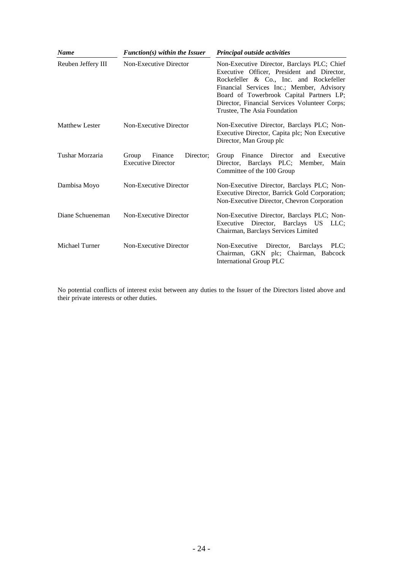| <b>Name</b>           | $Function(s)$ within the Issuer                            | Principal outside activities                                                                                                                                                                                                                                                                                   |
|-----------------------|------------------------------------------------------------|----------------------------------------------------------------------------------------------------------------------------------------------------------------------------------------------------------------------------------------------------------------------------------------------------------------|
| Reuben Jeffery III    | Non-Executive Director                                     | Non-Executive Director, Barclays PLC; Chief<br>Executive Officer, President and Director,<br>Rockefeller & Co., Inc. and Rockefeller<br>Financial Services Inc.; Member, Advisory<br>Board of Towerbrook Capital Partners LP;<br>Director, Financial Services Volunteer Corps;<br>Trustee, The Asia Foundation |
| <b>Matthew Lester</b> | Non-Executive Director                                     | Non-Executive Director, Barclays PLC; Non-<br>Executive Director, Capita plc; Non Executive<br>Director, Man Group plc                                                                                                                                                                                         |
| Tushar Morzaria       | Director:<br>Group<br>Finance<br><b>Executive Director</b> | Executive<br>Finance Director<br>Group<br>and<br>Director, Barclays PLC; Member, Main<br>Committee of the 100 Group                                                                                                                                                                                            |
| Dambisa Moyo          | Non-Executive Director                                     | Non-Executive Director, Barclays PLC; Non-<br>Executive Director, Barrick Gold Corporation;<br>Non-Executive Director, Chevron Corporation                                                                                                                                                                     |
| Diane Schueneman      | Non-Executive Director                                     | Non-Executive Director, Barclays PLC; Non-<br>Director, Barclays US LLC;<br>Executive<br>Chairman, Barclays Services Limited                                                                                                                                                                                   |
| Michael Turner        | Non-Executive Director                                     | Non-Executive Director,<br><b>Barclays</b><br>PLC:<br>Chairman, GKN plc; Chairman, Babcock<br>International Group PLC                                                                                                                                                                                          |

No potential conflicts of interest exist between any duties to the Issuer of the Directors listed above and their private interests or other duties.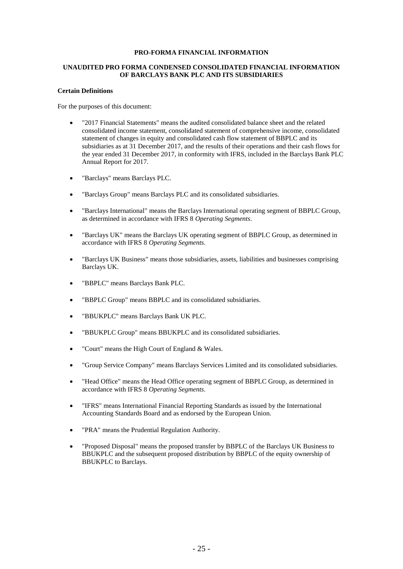## **PRO-FORMA FINANCIAL INFORMATION**

## **UNAUDITED PRO FORMA CONDENSED CONSOLIDATED FINANCIAL INFORMATION OF BARCLAYS BANK PLC AND ITS SUBSIDIARIES**

#### **Certain Definitions**

For the purposes of this document:

- "2017 Financial Statements" means the audited consolidated balance sheet and the related consolidated income statement, consolidated statement of comprehensive income, consolidated statement of changes in equity and consolidated cash flow statement of BBPLC and its subsidiaries as at 31 December 2017, and the results of their operations and their cash flows for the year ended 31 December 2017, in conformity with IFRS, included in the Barclays Bank PLC Annual Report for 2017.
- "Barclays" means Barclays PLC.
- "Barclays Group" means Barclays PLC and its consolidated subsidiaries.
- "Barclays International" means the Barclays International operating segment of BBPLC Group, as determined in accordance with IFRS 8 *Operating Segments*.
- "Barclays UK" means the Barclays UK operating segment of BBPLC Group, as determined in accordance with IFRS 8 *Operating Segments*.
- "Barclays UK Business" means those subsidiaries, assets, liabilities and businesses comprising Barclays UK.
- "BBPLC" means Barclays Bank PLC.
- "BBPLC Group" means BBPLC and its consolidated subsidiaries.
- "BBUKPLC" means Barclays Bank UK PLC.
- "BBUKPLC Group" means BBUKPLC and its consolidated subsidiaries.
- "Court" means the High Court of England & Wales.
- "Group Service Company" means Barclays Services Limited and its consolidated subsidiaries.
- "Head Office" means the Head Office operating segment of BBPLC Group, as determined in accordance with IFRS 8 *Operating Segments*.
- "IFRS" means International Financial Reporting Standards as issued by the International Accounting Standards Board and as endorsed by the European Union.
- "PRA" means the Prudential Regulation Authority.
- "Proposed Disposal" means the proposed transfer by BBPLC of the Barclays UK Business to BBUKPLC and the subsequent proposed distribution by BBPLC of the equity ownership of BBUKPLC to Barclays.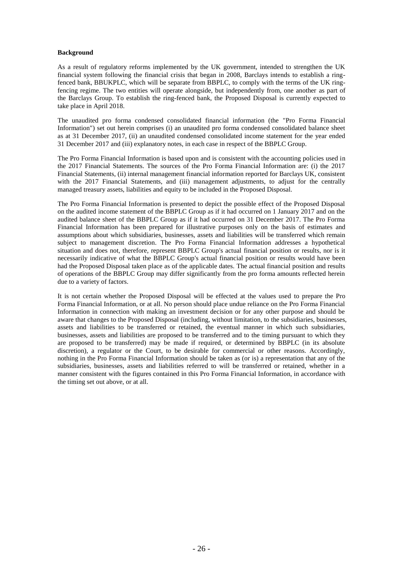## **Background**

As a result of regulatory reforms implemented by the UK government, intended to strengthen the UK financial system following the financial crisis that began in 2008, Barclays intends to establish a ringfenced bank, BBUKPLC, which will be separate from BBPLC, to comply with the terms of the UK ringfencing regime. The two entities will operate alongside, but independently from, one another as part of the Barclays Group. To establish the ring-fenced bank, the Proposed Disposal is currently expected to take place in April 2018.

The unaudited pro forma condensed consolidated financial information (the "Pro Forma Financial Information") set out herein comprises (i) an unaudited pro forma condensed consolidated balance sheet as at 31 December 2017, (ii) an unaudited condensed consolidated income statement for the year ended 31 December 2017 and (iii) explanatory notes, in each case in respect of the BBPLC Group.

The Pro Forma Financial Information is based upon and is consistent with the accounting policies used in the 2017 Financial Statements. The sources of the Pro Forma Financial Information are: (i) the 2017 Financial Statements, (ii) internal management financial information reported for Barclays UK, consistent with the 2017 Financial Statements, and (iii) management adjustments, to adjust for the centrally managed treasury assets, liabilities and equity to be included in the Proposed Disposal.

The Pro Forma Financial Information is presented to depict the possible effect of the Proposed Disposal on the audited income statement of the BBPLC Group as if it had occurred on 1 January 2017 and on the audited balance sheet of the BBPLC Group as if it had occurred on 31 December 2017. The Pro Forma Financial Information has been prepared for illustrative purposes only on the basis of estimates and assumptions about which subsidiaries, businesses, assets and liabilities will be transferred which remain subject to management discretion. The Pro Forma Financial Information addresses a hypothetical situation and does not, therefore, represent BBPLC Group's actual financial position or results, nor is it necessarily indicative of what the BBPLC Group's actual financial position or results would have been had the Proposed Disposal taken place as of the applicable dates. The actual financial position and results of operations of the BBPLC Group may differ significantly from the pro forma amounts reflected herein due to a variety of factors.

It is not certain whether the Proposed Disposal will be effected at the values used to prepare the Pro Forma Financial Information, or at all. No person should place undue reliance on the Pro Forma Financial Information in connection with making an investment decision or for any other purpose and should be aware that changes to the Proposed Disposal (including, without limitation, to the subsidiaries, businesses, assets and liabilities to be transferred or retained, the eventual manner in which such subsidiaries, businesses, assets and liabilities are proposed to be transferred and to the timing pursuant to which they are proposed to be transferred) may be made if required, or determined by BBPLC (in its absolute discretion), a regulator or the Court, to be desirable for commercial or other reasons. Accordingly, nothing in the Pro Forma Financial Information should be taken as (or is) a representation that any of the subsidiaries, businesses, assets and liabilities referred to will be transferred or retained, whether in a manner consistent with the figures contained in this Pro Forma Financial Information, in accordance with the timing set out above, or at all.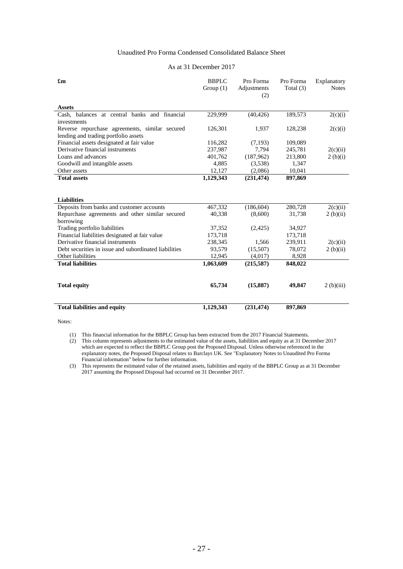## Unaudited Pro Forma Condensed Consolidated Balance Sheet

| As at 31 December 2017 |
|------------------------|
|------------------------|

| $\mathbf{f}_{\mathbf{m}}$                             | <b>BBPLC</b><br>Group $(1)$ | Pro Forma<br>Adjustments<br>(2) | Pro Forma<br>Total $(3)$ | Explanatory<br><b>Notes</b> |
|-------------------------------------------------------|-----------------------------|---------------------------------|--------------------------|-----------------------------|
|                                                       |                             |                                 |                          |                             |
| <b>Assets</b>                                         |                             |                                 |                          |                             |
| Cash, balances at central banks and financial         | 229,999                     | (40, 426)                       | 189,573                  | 2(c)(i)                     |
| investments                                           |                             |                                 |                          |                             |
| Reverse repurchase agreements, similar secured        | 126,301                     | 1,937                           | 128,238                  | 2(c)(i)                     |
| lending and trading portfolio assets                  |                             |                                 |                          |                             |
| Financial assets designated at fair value             | 116,282                     | (7, 193)                        | 109,089                  |                             |
| Derivative financial instruments                      | 237,987                     | 7,794                           | 245,781                  | 2(c)(ii)                    |
| Loans and advances                                    | 401,762                     | (187,962)                       | 213,800                  | 2(b)(i)                     |
| Goodwill and intangible assets                        | 4,885                       | (3,538)                         | 1,347                    |                             |
| Other assets                                          | 12,127                      | (2,086)                         | 10,041                   |                             |
| <b>Total assets</b>                                   | 1,129,343                   | (231, 474)                      | 897,869                  |                             |
|                                                       |                             |                                 |                          |                             |
|                                                       |                             |                                 |                          |                             |
| <b>Liabilities</b>                                    |                             |                                 |                          |                             |
| Deposits from banks and customer accounts             | 467,332                     | (186, 604)                      | 280,728                  | 2(c)(ii)                    |
| Repurchase agreements and other similar secured       | 40,338                      | (8,600)                         | 31,738                   | 2(b)(ii)                    |
| borrowing                                             |                             |                                 |                          |                             |
| Trading portfolio liabilities                         | 37,352                      | (2,425)                         | 34,927                   |                             |
| Financial liabilities designated at fair value        | 173,718                     |                                 | 173,718                  |                             |
| Derivative financial instruments                      | 238,345                     | 1,566                           | 239,911                  | 2(c)(ii)                    |
| Debt securities in issue and subordinated liabilities | 93,579                      | (15,507)                        | 78,072                   | 2(b)(ii)                    |
| Other liabilities                                     | 12,945                      | (4,017)                         | 8,928                    |                             |
| <b>Total liabilities</b>                              | 1,063,609                   | (215, 587)                      | 848,022                  |                             |
|                                                       |                             |                                 |                          |                             |
|                                                       |                             |                                 |                          |                             |
| <b>Total equity</b>                                   | 65,734                      | (15,887)                        | 49,847                   | 2(b)(iii)                   |
|                                                       |                             |                                 |                          |                             |
|                                                       |                             |                                 |                          |                             |
| <b>Total liabilities and equity</b>                   | 1,129,343                   | (231, 474)                      | 897,869                  |                             |

Notes:

(1) This financial information for the BBPLC Group has been extracted from the 2017 Financial Statements.

(2) This column represents adjustments to the estimated value of the assets, liabilities and equity as at 31 December 2017 which are expected to reflect the BBPLC Group post the Proposed Disposal. Unless otherwise referenced in the explanatory notes, the Proposed Disposal relates to Barclays UK. See "Explanatory Notes to Unaudited Pro Forma Financial information" below for further information.

(3) This represents the estimated value of the retained assets, liabilities and equity of the BBPLC Group as at 31 December 2017 assuming the Proposed Disposal had occurred on 31 December 2017.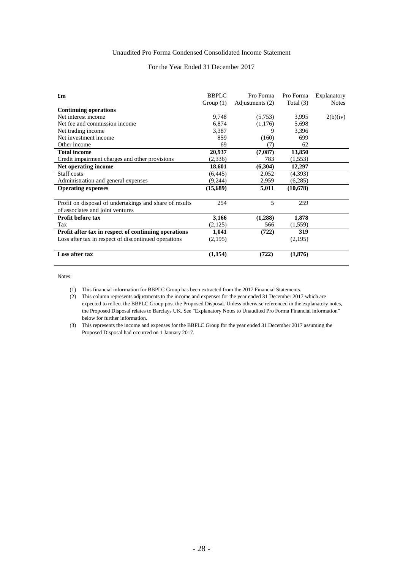## Unaudited Pro Forma Condensed Consolidated Income Statement

## For the Year Ended 31 December 2017

| $\mathbf{f}_{\mathbf{m}}$                               | $R$ $R$ $P$ $C$<br>Group $(1)$ | Pro Forma<br>Adjustments (2) | Pro Forma<br>Total $(3)$ | Explanatory<br><b>Notes</b> |
|---------------------------------------------------------|--------------------------------|------------------------------|--------------------------|-----------------------------|
| <b>Continuing operations</b>                            |                                |                              |                          |                             |
| Net interest income                                     | 9,748                          | (5,753)                      | 3,995                    | 2(b)(iv)                    |
| Net fee and commission income                           | 6,874                          | (1,176)                      | 5,698                    |                             |
| Net trading income                                      | 3,387                          | 9                            | 3,396                    |                             |
| Net investment income                                   | 859                            | (160)                        | 699                      |                             |
| Other income                                            | 69                             | (7)                          | 62                       |                             |
| <b>Total income</b>                                     | 20,937                         | (7,087)                      | 13,850                   |                             |
| Credit impairment charges and other provisions          | (2,336)                        | 783                          | (1,553)                  |                             |
| Net operating income                                    | 18,601                         | (6,304)                      | 12,297                   |                             |
| Staff costs                                             | (6, 445)                       | 2,052                        | (4,393)                  |                             |
| Administration and general expenses                     | (9,244)                        | 2,959                        | (6,285)                  |                             |
| <b>Operating expenses</b>                               | (15,689)                       | 5,011                        | (10,678)                 |                             |
|                                                         |                                |                              |                          |                             |
| Profit on disposal of undertakings and share of results | 254                            | 5                            | 259                      |                             |
| of associates and joint ventures                        |                                |                              |                          |                             |
| <b>Profit before tax</b>                                | 3,166                          | (1,288)                      | 1,878                    |                             |
| Tax                                                     | (2,125)                        | 566                          | (1, 559)                 |                             |
| Profit after tax in respect of continuing operations    | 1,041                          | (722)                        | 319                      |                             |
| Loss after tax in respect of discontinued operations    | (2,195)                        |                              | (2,195)                  |                             |
| Loss after tax                                          | (1,154)                        | (722)                        | (1,876)                  |                             |

Notes:

- (1) This financial information for BBPLC Group has been extracted from the 2017 Financial Statements.
- (2) This column represents adjustments to the income and expenses for the year ended 31 December 2017 which are expected to reflect the BBPLC Group post the Proposed Disposal. Unless otherwise referenced in the explanatory notes, the Proposed Disposal relates to Barclays UK. See "Explanatory Notes to Unaudited Pro Forma Financial information" below for further information.
- (3) This represents the income and expenses for the BBPLC Group for the year ended 31 December 2017 assuming the Proposed Disposal had occurred on 1 January 2017.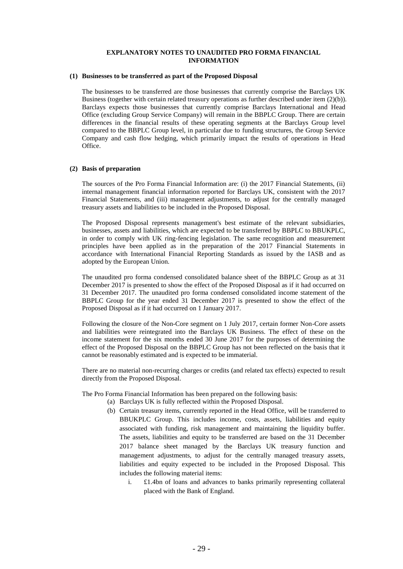## **EXPLANATORY NOTES TO UNAUDITED PRO FORMA FINANCIAL INFORMATION**

#### **(1) Businesses to be transferred as part of the Proposed Disposal**

The businesses to be transferred are those businesses that currently comprise the Barclays UK Business (together with certain related treasury operations as further described under item (2)(b)). Barclays expects those businesses that currently comprise Barclays International and Head Office (excluding Group Service Company) will remain in the BBPLC Group. There are certain differences in the financial results of these operating segments at the Barclays Group level compared to the BBPLC Group level, in particular due to funding structures, the Group Service Company and cash flow hedging, which primarily impact the results of operations in Head Office.

#### **(2) Basis of preparation**

The sources of the Pro Forma Financial Information are: (i) the 2017 Financial Statements, (ii) internal management financial information reported for Barclays UK, consistent with the 2017 Financial Statements, and (iii) management adjustments, to adjust for the centrally managed treasury assets and liabilities to be included in the Proposed Disposal.

The Proposed Disposal represents management's best estimate of the relevant subsidiaries, businesses, assets and liabilities, which are expected to be transferred by BBPLC to BBUKPLC, in order to comply with UK ring-fencing legislation. The same recognition and measurement principles have been applied as in the preparation of the 2017 Financial Statements in accordance with International Financial Reporting Standards as issued by the IASB and as adopted by the European Union.

The unaudited pro forma condensed consolidated balance sheet of the BBPLC Group as at 31 December 2017 is presented to show the effect of the Proposed Disposal as if it had occurred on 31 December 2017. The unaudited pro forma condensed consolidated income statement of the BBPLC Group for the year ended 31 December 2017 is presented to show the effect of the Proposed Disposal as if it had occurred on 1 January 2017.

Following the closure of the Non-Core segment on 1 July 2017, certain former Non-Core assets and liabilities were reintegrated into the Barclays UK Business. The effect of these on the income statement for the six months ended 30 June 2017 for the purposes of determining the effect of the Proposed Disposal on the BBPLC Group has not been reflected on the basis that it cannot be reasonably estimated and is expected to be immaterial.

There are no material non-recurring charges or credits (and related tax effects) expected to result directly from the Proposed Disposal.

The Pro Forma Financial Information has been prepared on the following basis:

- (a) Barclays UK is fully reflected within the Proposed Disposal.
- (b) Certain treasury items, currently reported in the Head Office, will be transferred to BBUKPLC Group. This includes income, costs, assets, liabilities and equity associated with funding, risk management and maintaining the liquidity buffer. The assets, liabilities and equity to be transferred are based on the 31 December 2017 balance sheet managed by the Barclays UK treasury function and management adjustments, to adjust for the centrally managed treasury assets, liabilities and equity expected to be included in the Proposed Disposal. This includes the following material items:
	- i. £1.4bn of loans and advances to banks primarily representing collateral placed with the Bank of England.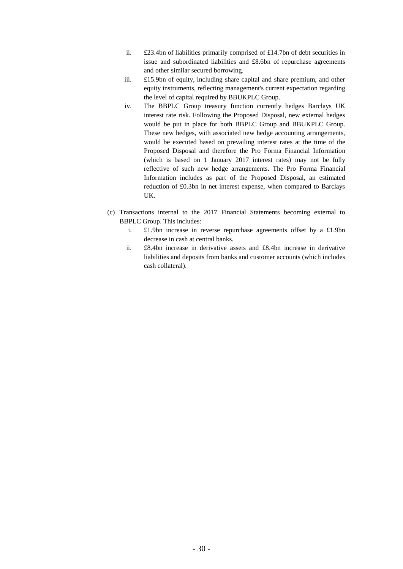- ii. £23.4bn of liabilities primarily comprised of £14.7bn of debt securities in issue and subordinated liabilities and £8.6bn of repurchase agreements and other similar secured borrowing.
- iii. £15.9bn of equity, including share capital and share premium, and other equity instruments, reflecting management's current expectation regarding the level of capital required by BBUKPLC Group.
- iv. The BBPLC Group treasury function currently hedges Barclays UK interest rate risk. Following the Proposed Disposal, new external hedges would be put in place for both BBPLC Group and BBUKPLC Group. These new hedges, with associated new hedge accounting arrangements, would be executed based on prevailing interest rates at the time of the Proposed Disposal and therefore the Pro Forma Financial Information (which is based on 1 January 2017 interest rates) may not be fully reflective of such new hedge arrangements. The Pro Forma Financial Information includes as part of the Proposed Disposal, an estimated reduction of £0.3bn in net interest expense, when compared to Barclays UK.
- (c) Transactions internal to the 2017 Financial Statements becoming external to BBPLC Group. This includes:
	- i. £1.9bn increase in reverse repurchase agreements offset by a £1.9bn decrease in cash at central banks.
	- ii. £8.4bn increase in derivative assets and £8.4bn increase in derivative liabilities and deposits from banks and customer accounts (which includes cash collateral).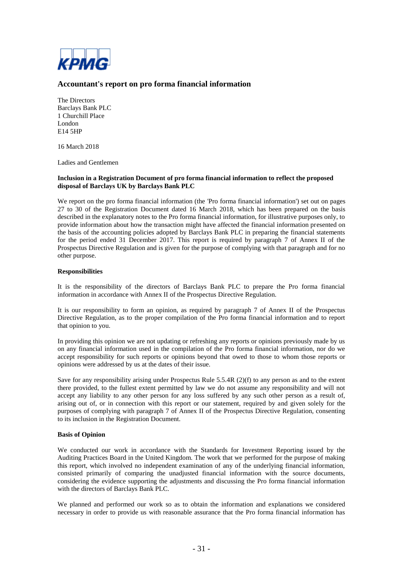

## **Accountant's report on pro forma financial information**

The Directors Barclays Bank PLC 1 Churchill Place London E14 5HP

16 March 2018

Ladies and Gentlemen

### **Inclusion in a Registration Document of pro forma financial information to reflect the proposed disposal of Barclays UK by Barclays Bank PLC**

We report on the pro forma financial information (the 'Pro forma financial information') set out on pages 27 to 30 of the Registration Document dated 16 March 2018, which has been prepared on the basis described in the explanatory notes to the Pro forma financial information, for illustrative purposes only, to provide information about how the transaction might have affected the financial information presented on the basis of the accounting policies adopted by Barclays Bank PLC in preparing the financial statements for the period ended 31 December 2017. This report is required by paragraph 7 of Annex II of the Prospectus Directive Regulation and is given for the purpose of complying with that paragraph and for no other purpose.

#### **Responsibilities**

It is the responsibility of the directors of Barclays Bank PLC to prepare the Pro forma financial information in accordance with Annex II of the Prospectus Directive Regulation.

It is our responsibility to form an opinion, as required by paragraph 7 of Annex II of the Prospectus Directive Regulation, as to the proper compilation of the Pro forma financial information and to report that opinion to you.

In providing this opinion we are not updating or refreshing any reports or opinions previously made by us on any financial information used in the compilation of the Pro forma financial information, nor do we accept responsibility for such reports or opinions beyond that owed to those to whom those reports or opinions were addressed by us at the dates of their issue.

Save for any responsibility arising under Prospectus Rule 5.5.4R (2)(f) to any person as and to the extent there provided, to the fullest extent permitted by law we do not assume any responsibility and will not accept any liability to any other person for any loss suffered by any such other person as a result of, arising out of, or in connection with this report or our statement, required by and given solely for the purposes of complying with paragraph 7 of Annex II of the Prospectus Directive Regulation, consenting to its inclusion in the Registration Document.

## **Basis of Opinion**

We conducted our work in accordance with the Standards for Investment Reporting issued by the Auditing Practices Board in the United Kingdom. The work that we performed for the purpose of making this report, which involved no independent examination of any of the underlying financial information, consisted primarily of comparing the unadjusted financial information with the source documents, considering the evidence supporting the adjustments and discussing the Pro forma financial information with the directors of Barclays Bank PLC.

We planned and performed our work so as to obtain the information and explanations we considered necessary in order to provide us with reasonable assurance that the Pro forma financial information has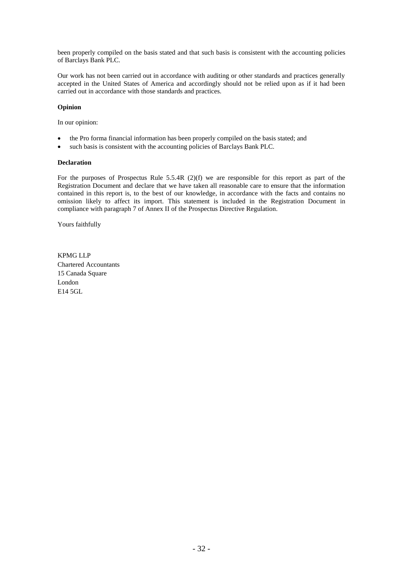been properly compiled on the basis stated and that such basis is consistent with the accounting policies of Barclays Bank PLC.

Our work has not been carried out in accordance with auditing or other standards and practices generally accepted in the United States of America and accordingly should not be relied upon as if it had been carried out in accordance with those standards and practices.

## **Opinion**

In our opinion:

- the Pro forma financial information has been properly compiled on the basis stated; and
- such basis is consistent with the accounting policies of Barclays Bank PLC.

#### **Declaration**

For the purposes of Prospectus Rule 5.5.4R (2)(f) we are responsible for this report as part of the Registration Document and declare that we have taken all reasonable care to ensure that the information contained in this report is, to the best of our knowledge, in accordance with the facts and contains no omission likely to affect its import. This statement is included in the Registration Document in compliance with paragraph 7 of Annex II of the Prospectus Directive Regulation.

Yours faithfully

KPMG LLP Chartered Accountants 15 Canada Square London E14 5GL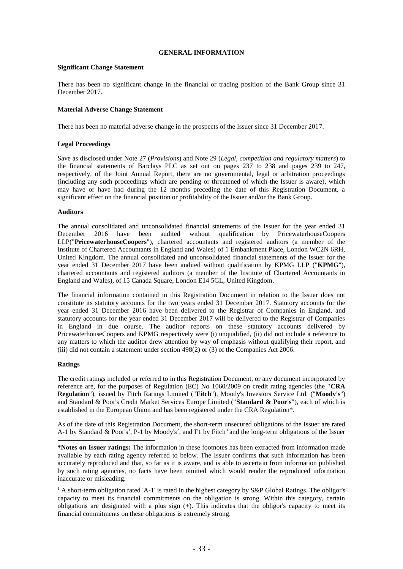### **GENERAL INFORMATION**

#### **Significant Change Statement**

There has been no significant change in the financial or trading position of the Bank Group since 31 December 2017.

#### **Material Adverse Change Statement**

There has been no material adverse change in the prospects of the Issuer since 31 December 2017.

## **Legal Proceedings**

Save as disclosed under Note 27 (*Provisions*) and Note 29 (*Legal, competition and regulatory matters*) to the financial statements of Barclays PLC as set out on pages 237 to 238 and pages 239 to 247, respectively, of the Joint Annual Report, there are no governmental, legal or arbitration proceedings (including any such proceedings which are pending or threatened of which the Issuer is aware), which may have or have had during the 12 months preceding the date of this Registration Document, a significant effect on the financial position or profitability of the Issuer and/or the Bank Group.

#### **Auditors**

The annual consolidated and unconsolidated financial statements of the Issuer for the year ended 31 December 2016 have been audited without qualification by PricewaterhouseCoopers LLP("**PricewaterhouseCoopers**"), chartered accountants and registered auditors (a member of the Institute of Chartered Accountants in England and Wales) of 1 Embankment Place, London WC2N 6RH, United Kingdom. The annual consolidated and unconsolidated financial statements of the Issuer for the year ended 31 December 2017 have been audited without qualification by KPMG LLP ("**KPMG**"), chartered accountants and registered auditors (a member of the Institute of Chartered Accountants in England and Wales), of 15 Canada Square, London E14 5GL, United Kingdom.

The financial information contained in this Registration Document in relation to the Issuer does not constitute its statutory accounts for the two years ended 31 December 2017. Statutory accounts for the year ended 31 December 2016 have been delivered to the Registrar of Companies in England, and statutory accounts for the year ended 31 December 2017 will be delivered to the Registrar of Companies in England in due course. The auditor reports on these statutory accounts delivered by PricewaterhouseCoopers and KPMG respectively were (i) unqualified, (ii) did not include a reference to any matters to which the auditor drew attention by way of emphasis without qualifying their report, and (iii) did not contain a statement under section 498(2) or (3) of the Companies Act 2006.

## **Ratings**

-

The credit ratings included or referred to in this Registration Document, or any document incorporated by reference are, for the purposes of Regulation (EC) No 1060/2009 on credit rating agencies (the "**CRA Regulation**"), issued by Fitch Ratings Limited ("**Fitch**"), Moody's Investors Service Ltd. ("**Moody's**") and Standard & Poor's Credit Market Services Europe Limited ("**Standard & Poor's**"), each of which is established in the European Union and has been registered under the CRA Regulation\*.

As of the date of this Registration Document, the short-term unsecured obligations of the Issuer are rated A-1 by Standard & Poor's<sup>1</sup>, P-1 by Moody's<sup>2</sup>, and F1 by Fitch<sup>3</sup> and the long-term obligations of the Issuer

**\*Notes on Issuer ratings:** The information in these footnotes has been extracted from information made available by each rating agency referred to below. The Issuer confirms that such information has been accurately reproduced and that, so far as it is aware, and is able to ascertain from information published by such rating agencies, no facts have been omitted which would render the reproduced information inaccurate or misleading.

<sup>1</sup> A short-term obligation rated 'A-1' is rated in the highest category by S&P Global Ratings. The obligor's capacity to meet its financial commitments on the obligation is strong. Within this category, certain obligations are designated with a plus sign (+). This indicates that the obligor's capacity to meet its financial commitments on these obligations is extremely strong.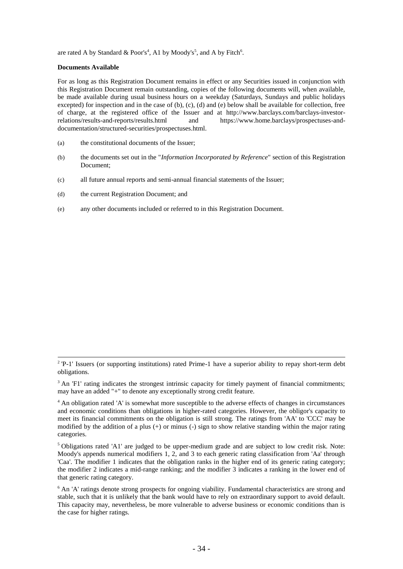are rated A by Standard & Poor's<sup>4</sup>, A1 by Moody's<sup>5</sup>, and A by Fitch<sup>6</sup>.

### **Documents Available**

-

For as long as this Registration Document remains in effect or any Securities issued in conjunction with this Registration Document remain outstanding, copies of the following documents will, when available, be made available during usual business hours on a weekday (Saturdays, Sundays and public holidays excepted) for inspection and in the case of (b), (c), (d) and (e) below shall be available for collection, free of charge, at the registered office of the Issuer and at http://www.barclays.com/barclays-investorrelations/results-and-reports/results.html and https://www.home.barclays/prospectuses-anddocumentation/structured-securities/prospectuses.html.

- (a) the constitutional documents of the Issuer;
- (b) the documents set out in the "*Information Incorporated by Reference*" section of this Registration Document;
- (c) all future annual reports and semi-annual financial statements of the Issuer;
- (d) the current Registration Document; and
- (e) any other documents included or referred to in this Registration Document.

 $2$  'P-1' Issuers (or supporting institutions) rated Prime-1 have a superior ability to repay short-term debt obligations.

<sup>&</sup>lt;sup>3</sup> An 'F1' rating indicates the strongest intrinsic capacity for timely payment of financial commitments; may have an added "+" to denote any exceptionally strong credit feature.

<sup>4</sup> An obligation rated 'A' is somewhat more susceptible to the adverse effects of changes in circumstances and economic conditions than obligations in higher-rated categories. However, the obligor's capacity to meet its financial commitments on the obligation is still strong. The ratings from 'AA' to 'CCC' may be modified by the addition of a plus (+) or minus (-) sign to show relative standing within the major rating categories.

 $<sup>5</sup>$  Obligations rated 'A1' are judged to be upper-medium grade and are subject to low credit risk. Note:</sup> Moody's appends numerical modifiers 1, 2, and 3 to each generic rating classification from 'Aa' through 'Caa'. The modifier 1 indicates that the obligation ranks in the higher end of its generic rating category; the modifier 2 indicates a mid-range ranking; and the modifier 3 indicates a ranking in the lower end of that generic rating category.

 $6$  An 'A' ratings denote strong prospects for ongoing viability. Fundamental characteristics are strong and stable, such that it is unlikely that the bank would have to rely on extraordinary support to avoid default. This capacity may, nevertheless, be more vulnerable to adverse business or economic conditions than is the case for higher ratings.